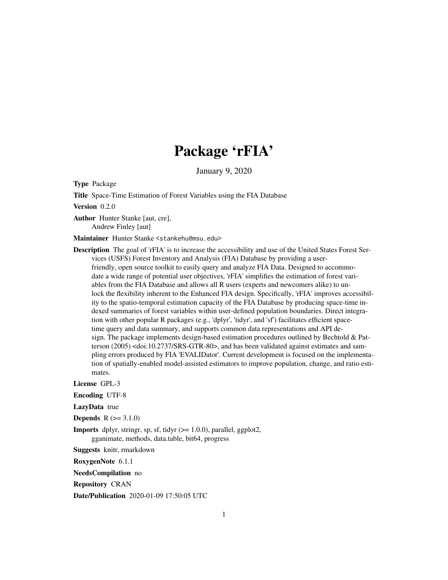# Package 'rFIA'

January 9, 2020

<span id="page-0-0"></span>Type Package

Title Space-Time Estimation of Forest Variables using the FIA Database

Version 0.2.0

Author Hunter Stanke [aut, cre], Andrew Finley [aut]

Maintainer Hunter Stanke <stankehu@msu.edu>

Description The goal of 'rFIA' is to increase the accessibility and use of the United States Forest Services (USFS) Forest Inventory and Analysis (FIA) Database by providing a userfriendly, open source toolkit to easily query and analyze FIA Data. Designed to accommodate a wide range of potential user objectives, 'rFIA' simplifies the estimation of forest variables from the FIA Database and allows all R users (experts and newcomers alike) to unlock the flexibility inherent to the Enhanced FIA design. Specifically, 'rFIA' improves accessibility to the spatio-temporal estimation capacity of the FIA Database by producing space-time indexed summaries of forest variables within user-defined population boundaries. Direct integration with other popular R packages (e.g., 'dplyr', 'tidyr', and 'sf') facilitates efficient spacetime query and data summary, and supports common data representations and API design. The package implements design-based estimation procedures outlined by Bechtold & Patterson (2005) <doi:10.2737/SRS-GTR-80>, and has been validated against estimates and sampling errors produced by FIA 'EVALIDator'. Current development is focused on the implementation of spatially-enabled model-assisted estimators to improve population, change, and ratio estimates.

License GPL-3

Encoding UTF-8

LazyData true

**Depends**  $R (= 3.1.0)$ 

**Imports** dplyr, stringr, sp, sf, tidyr  $(>= 1.0.0)$ , parallel, ggplot2, gganimate, methods, data.table, bit64, progress

Suggests knitr, rmarkdown

RoxygenNote 6.1.1

NeedsCompilation no

Repository CRAN

Date/Publication 2020-01-09 17:50:05 UTC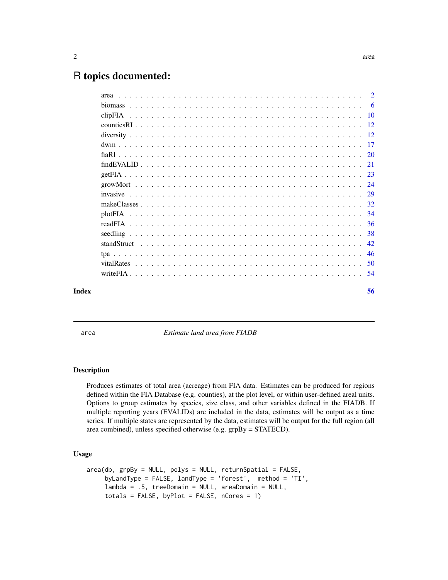# <span id="page-1-0"></span>R topics documented:

| Index |  |  | 56 |
|-------|--|--|----|

area *Estimate land area from FIADB*

# Description

Produces estimates of total area (acreage) from FIA data. Estimates can be produced for regions defined within the FIA Database (e.g. counties), at the plot level, or within user-defined areal units. Options to group estimates by species, size class, and other variables defined in the FIADB. If multiple reporting years (EVALIDs) are included in the data, estimates will be output as a time series. If multiple states are represented by the data, estimates will be output for the full region (all area combined), unless specified otherwise (e.g. grpBy = STATECD).

#### Usage

```
area(db, grpBy = NULL, polys = NULL, return Spatial = FALSE,byLandType = FALSE, landType = 'forest', method = 'TI',
    lambda = .5, treeDomain = NULL, areaDomain = NULL,
    totals = FALSE, byPlot = FALSE, nCores = 1)
```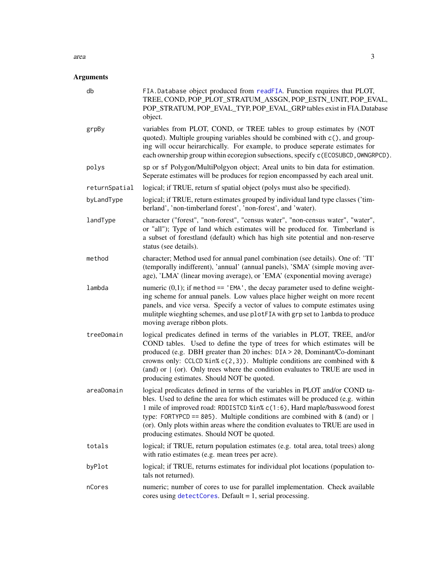#### <span id="page-2-0"></span> $area$  3

| db            | FIA.Database object produced from readFIA. Function requires that PLOT,<br>TREE, COND, POP_PLOT_STRATUM_ASSGN, POP_ESTN_UNIT, POP_EVAL,<br>POP_STRATUM, POP_EVAL_TYP, POP_EVAL_GRP tables exist in FIA.Database<br>object.                                                                                                                                                                                                                                  |
|---------------|-------------------------------------------------------------------------------------------------------------------------------------------------------------------------------------------------------------------------------------------------------------------------------------------------------------------------------------------------------------------------------------------------------------------------------------------------------------|
| grpBy         | variables from PLOT, COND, or TREE tables to group estimates by (NOT<br>quoted). Multiple grouping variables should be combined with c(), and group-<br>ing will occur heirarchically. For example, to produce seperate estimates for<br>each ownership group within ecoregion subsections, specify c (ECOSUBCD, OWNGRPCD).                                                                                                                                 |
| polys         | sp or sf Polygon/MultiPolgyon object; Areal units to bin data for estimation.<br>Seperate estimates will be produces for region encompassed by each areal unit.                                                                                                                                                                                                                                                                                             |
| returnSpatial | logical; if TRUE, return sf spatial object (polys must also be specified).                                                                                                                                                                                                                                                                                                                                                                                  |
| byLandType    | logical; if TRUE, return estimates grouped by individual land type classes ('tim-<br>berland', 'non-timberland forest', 'non-forest', and 'water).                                                                                                                                                                                                                                                                                                          |
| landType      | character ("forest", "non-forest", "census water", "non-census water", "water",<br>or "all"); Type of land which estimates will be produced for. Timberland is<br>a subset of forestland (default) which has high site potential and non-reserve<br>status (see details).                                                                                                                                                                                   |
| method        | character; Method used for annual panel combination (see details). One of: 'TI'<br>(temporally indifferent), 'annual' (annual panels), 'SMA' (simple moving aver-<br>age), 'LMA' (linear moving average), or 'EMA' (exponential moving average)                                                                                                                                                                                                             |
| lambda        | numeric $(0,1)$ ; if method == 'EMA', the decay parameter used to define weight-<br>ing scheme for annual panels. Low values place higher weight on more recent<br>panels, and vice versa. Specify a vector of values to compute estimates using<br>mulitple wieghting schemes, and use plotFIA with grp set to lambda to produce<br>moving average ribbon plots.                                                                                           |
| treeDomain    | logical predicates defined in terms of the variables in PLOT, TREE, and/or<br>COND tables. Used to define the type of trees for which estimates will be<br>produced (e.g. DBH greater than 20 inches: DIA > 20, Dominant/Co-dominant<br>crowns only: CCLCD % in% $c(2,3)$ ). Multiple conditions are combined with &<br>(and) or $\mid$ (or). Only trees where the condition evaluates to TRUE are used in<br>producing estimates. Should NOT be quoted.    |
| areaDomain    | logical predicates defined in terms of the variables in PLOT and/or COND ta-<br>bles. Used to define the area for which estimates will be produced (e.g. within<br>1 mile of improved road: RDDISTCD %in% c(1:6), Hard maple/basswood forest<br>type: FORTYPCD == 805). Multiple conditions are combined with & (and) or  <br>(or). Only plots within areas where the condition evaluates to TRUE are used in<br>producing estimates. Should NOT be quoted. |
| totals        | logical; if TRUE, return population estimates (e.g. total area, total trees) along<br>with ratio estimates (e.g. mean trees per acre).                                                                                                                                                                                                                                                                                                                      |
| byPlot        | logical; if TRUE, returns estimates for individual plot locations (population to-<br>tals not returned).                                                                                                                                                                                                                                                                                                                                                    |
| nCores        | numeric; number of cores to use for parallel implementation. Check available<br>cores using $detectCores$ . Default = 1, serial processing.                                                                                                                                                                                                                                                                                                                 |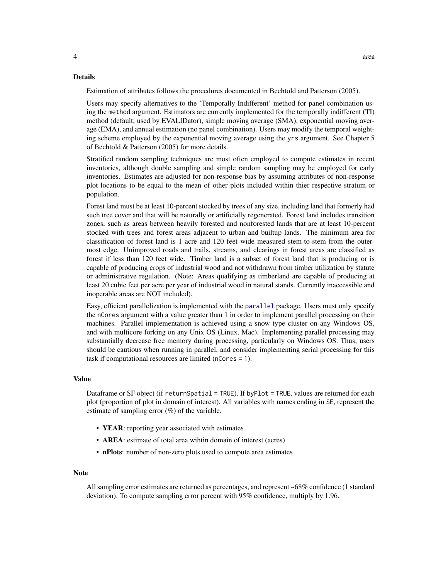#### <span id="page-3-0"></span>Details

Estimation of attributes follows the procedures documented in Bechtold and Patterson (2005).

Users may specify alternatives to the 'Temporally Indifferent' method for panel combination using the method argument. Estimators are currently implemented for the temporally indifferent (TI) method (default, used by EVALIDator), simple moving average (SMA), exponential moving average (EMA), and annual estimation (no panel combination). Users may modify the temporal weighting scheme employed by the exponential moving average using the yrs argument. See Chapter 5 of Bechtold & Patterson (2005) for more details.

Stratified random sampling techniques are most often employed to compute estimates in recent inventories, although double sampling and simple random sampling may be employed for early inventories. Estimates are adjusted for non-response bias by assuming attributes of non-response plot locations to be equal to the mean of other plots included within thier respective stratum or population.

Forest land must be at least 10-percent stocked by trees of any size, including land that formerly had such tree cover and that will be naturally or artificially regenerated. Forest land includes transition zones, such as areas between heavily forested and nonforested lands that are at least 10-percent stocked with trees and forest areas adjacent to urban and builtup lands. The minimum area for classification of forest land is 1 acre and 120 feet wide measured stem-to-stem from the outermost edge. Unimproved roads and trails, streams, and clearings in forest areas are classified as forest if less than 120 feet wide. Timber land is a subset of forest land that is producing or is capable of producing crops of industrial wood and not withdrawn from timber utilization by statute or administrative regulation. (Note: Areas qualifying as timberland are capable of producing at least 20 cubic feet per acre per year of industrial wood in natural stands. Currently inaccessible and inoperable areas are NOT included).

Easy, efficient parallelization is implemented with the [parallel](#page-0-0) package. Users must only specify the nCores argument with a value greater than 1 in order to implement parallel processing on their machines. Parallel implementation is achieved using a snow type cluster on any Windows OS, and with multicore forking on any Unix OS (Linux, Mac). Implementing parallel processing may substantially decrease free memory during processing, particularly on Windows OS. Thus, users should be cautious when running in parallel, and consider implementing serial processing for this task if computational resources are limited (nCores = 1).

#### Value

Dataframe or SF object (if returnSpatial = TRUE). If byPlot = TRUE, values are returned for each plot (proportion of plot in domain of interest). All variables with names ending in SE, represent the estimate of sampling error  $(\%)$  of the variable.

- **YEAR**: reporting year associated with estimates
- **AREA**: estimate of total area wihtin domain of interest (acres)
- nPlots: number of non-zero plots used to compute area estimates

#### Note

All sampling error estimates are returned as percentages, and represent ~68% confidence (1 standard deviation). To compute sampling error percent with 95% confidence, multiply by 1.96.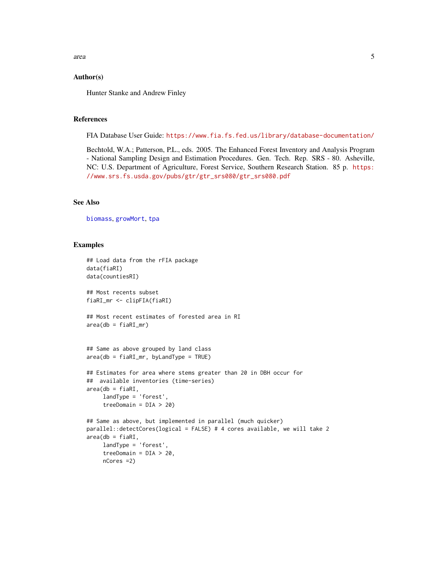<span id="page-4-0"></span>area  $5$ 

### Author(s)

Hunter Stanke and Andrew Finley

#### References

FIA Database User Guide: <https://www.fia.fs.fed.us/library/database-documentation/>

Bechtold, W.A.; Patterson, P.L., eds. 2005. The Enhanced Forest Inventory and Analysis Program - National Sampling Design and Estimation Procedures. Gen. Tech. Rep. SRS - 80. Asheville, NC: U.S. Department of Agriculture, Forest Service, Southern Research Station. 85 p. [https:](https://www.srs.fs.usda.gov/pubs/gtr/gtr_srs080/gtr_srs080.pdf) [//www.srs.fs.usda.gov/pubs/gtr/gtr\\_srs080/gtr\\_srs080.pdf](https://www.srs.fs.usda.gov/pubs/gtr/gtr_srs080/gtr_srs080.pdf)

#### See Also

[biomass](#page-5-1), [growMort](#page-23-1), [tpa](#page-45-1)

#### Examples

```
## Load data from the rFIA package
data(fiaRI)
data(countiesRI)
## Most recents subset
fiaRI_mr <- clipFIA(fiaRI)
## Most recent estimates of forested area in RI
area(db = fiaRI_mr)## Same as above grouped by land class
area(db = fiaRI_m, byLandType = TRUE)## Estimates for area where stems greater than 20 in DBH occur for
## available inventories (time-series)
area(db = fiaRI,landType = 'forest',
     treeDomain = DIA > 20)
## Same as above, but implemented in parallel (much quicker)
parallel::detectCores(logical = FALSE) # 4 cores available, we will take 2
area(db = fiaRI,landType = 'forest',
     treeDomain = DIA > 20,
    nCores =2)
```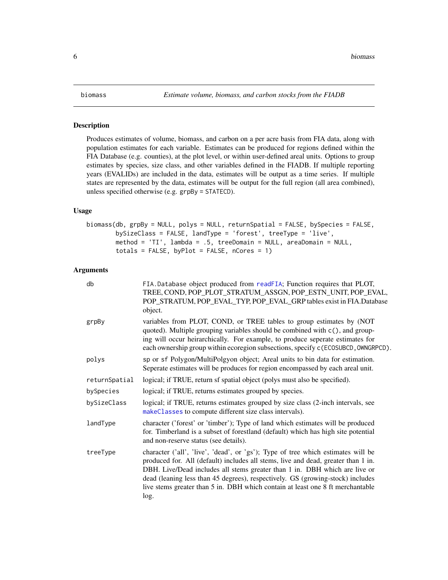#### <span id="page-5-1"></span><span id="page-5-0"></span>Description

Produces estimates of volume, biomass, and carbon on a per acre basis from FIA data, along with population estimates for each variable. Estimates can be produced for regions defined within the FIA Database (e.g. counties), at the plot level, or within user-defined areal units. Options to group estimates by species, size class, and other variables defined in the FIADB. If multiple reporting years (EVALIDs) are included in the data, estimates will be output as a time series. If multiple states are represented by the data, estimates will be output for the full region (all area combined), unless specified otherwise (e.g. grpBy = STATECD).

#### Usage

```
biomass(db, grpBy = NULL, polys = NULL, returnSpatial = FALSE, bySpecies = FALSE,
       bySizeClass = FALSE, landType = 'forest', treeType = 'live',
       method = 'TI', lambda = .5, treeDomain = NULL, areaDomain = NULL,
       totals = FALSE, byPlot = FALSE, nCores = 1)
```

| db            | FIA.Database object produced from readFIA; Function requires that PLOT,<br>TREE, COND, POP_PLOT_STRATUM_ASSGN, POP_ESTN_UNIT, POP_EVAL,<br>POP_STRATUM, POP_EVAL_TYP, POP_EVAL_GRP tables exist in FIA.Database<br>object.                                                                                                                                                                                                      |
|---------------|---------------------------------------------------------------------------------------------------------------------------------------------------------------------------------------------------------------------------------------------------------------------------------------------------------------------------------------------------------------------------------------------------------------------------------|
| grpBy         | variables from PLOT, COND, or TREE tables to group estimates by (NOT<br>quoted). Multiple grouping variables should be combined with c(), and group-<br>ing will occur heirarchically. For example, to produce seperate estimates for<br>each ownership group within ecoregion subsections, specify c (ECOSUBCD, OWNGRPCD).                                                                                                     |
| polys         | sp or sf Polygon/MultiPolgyon object; Areal units to bin data for estimation.<br>Seperate estimates will be produces for region encompassed by each areal unit.                                                                                                                                                                                                                                                                 |
| returnSpatial | logical; if TRUE, return sf spatial object (polys must also be specified).                                                                                                                                                                                                                                                                                                                                                      |
| bySpecies     | logical; if TRUE, returns estimates grouped by species.                                                                                                                                                                                                                                                                                                                                                                         |
| bySizeClass   | logical; if TRUE, returns estimates grouped by size class (2-inch intervals, see<br>makeClasses to compute different size class intervals).                                                                                                                                                                                                                                                                                     |
| landType      | character ('forest' or 'timber'); Type of land which estimates will be produced<br>for. Timberland is a subset of forestland (default) which has high site potential<br>and non-reserve status (see details).                                                                                                                                                                                                                   |
| treeType      | character ('all', 'live', 'dead', or 'gs'); Type of tree which estimates will be<br>produced for. All (default) includes all stems, live and dead, greater than 1 in.<br>DBH. Live/Dead includes all stems greater than 1 in. DBH which are live or<br>dead (leaning less than 45 degrees), respectively. GS (growing-stock) includes<br>live stems greater than 5 in. DBH which contain at least one 8 ft merchantable<br>log. |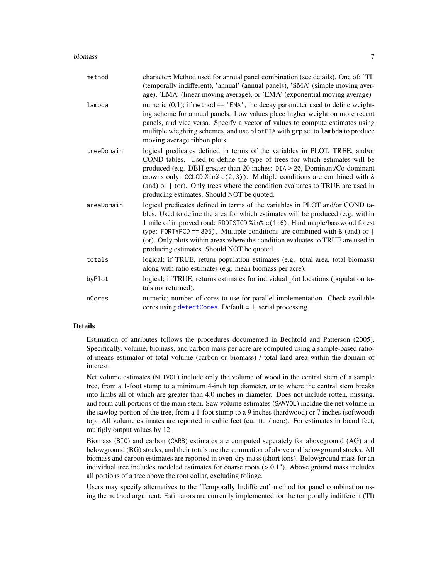#### <span id="page-6-0"></span>biomass and the contract of the contract of the contract of the contract of the contract of the contract of the contract of the contract of the contract of the contract of the contract of the contract of the contract of th

| method     | character; Method used for annual panel combination (see details). One of: 'TI'<br>(temporally indifferent), 'annual' (annual panels), 'SMA' (simple moving aver-<br>age), 'LMA' (linear moving average), or 'EMA' (exponential moving average)                                                                                                                                                                                                               |
|------------|---------------------------------------------------------------------------------------------------------------------------------------------------------------------------------------------------------------------------------------------------------------------------------------------------------------------------------------------------------------------------------------------------------------------------------------------------------------|
| lambda     | numeric $(0,1)$ ; if method == 'EMA', the decay parameter used to define weight-<br>ing scheme for annual panels. Low values place higher weight on more recent<br>panels, and vice versa. Specify a vector of values to compute estimates using<br>mulitple wieghting schemes, and use plotFIA with grp set to lambda to produce<br>moving average ribbon plots.                                                                                             |
| treeDomain | logical predicates defined in terms of the variables in PLOT, TREE, and/or<br>COND tables. Used to define the type of trees for which estimates will be<br>produced (e.g. DBH greater than 20 inches: DIA > 20, Dominant/Co-dominant<br>crowns only: CCLCD %in% $c(2,3)$ ). Multiple conditions are combined with &<br>(and) or $\mid$ (or). Only trees where the condition evaluates to TRUE are used in<br>producing estimates. Should NOT be quoted.       |
| areaDomain | logical predicates defined in terms of the variables in PLOT and/or COND ta-<br>bles. Used to define the area for which estimates will be produced (e.g. within<br>1 mile of improved road: RDDISTCD %in% c(1:6), Hard maple/basswood forest<br>type: FORTYPCD == 805). Multiple conditions are combined with & (and) or $ $<br>(or). Only plots within areas where the condition evaluates to TRUE are used in<br>producing estimates. Should NOT be quoted. |
| totals     | logical; if TRUE, return population estimates (e.g. total area, total biomass)<br>along with ratio estimates (e.g. mean biomass per acre).                                                                                                                                                                                                                                                                                                                    |
| byPlot     | logical; if TRUE, returns estimates for individual plot locations (population to-<br>tals not returned).                                                                                                                                                                                                                                                                                                                                                      |
| nCores     | numeric; number of cores to use for parallel implementation. Check available<br>cores using $detectCores$ . Default = 1, serial processing.                                                                                                                                                                                                                                                                                                                   |

# Details

Estimation of attributes follows the procedures documented in Bechtold and Patterson (2005). Specifically, volume, biomass, and carbon mass per acre are computed using a sample-based ratioof-means estimator of total volume (carbon or biomass) / total land area within the domain of interest.

Net volume estimates (NETVOL) include only the volume of wood in the central stem of a sample tree, from a 1-foot stump to a minimum 4-inch top diameter, or to where the central stem breaks into limbs all of which are greater than 4.0 inches in diameter. Does not include rotten, missing, and form cull portions of the main stem. Saw volume estimates (SAWVOL) incldue the net volume in the sawlog portion of the tree, from a 1-foot stump to a 9 inches (hardwood) or 7 inches (softwood) top. All volume estimates are reported in cubic feet (cu. ft. / acre). For estimates in board feet, multiply output values by 12.

Biomass (BIO) and carbon (CARB) estimates are computed seperately for aboveground (AG) and belowground (BG) stocks, and their totals are the summation of above and belowground stocks. All biomass and carbon estimates are reported in oven-dry mass (short tons). Belowground mass for an individual tree includes modeled estimates for coarse roots  $(> 0.1$ "). Above ground mass includes all portions of a tree above the root collar, excluding foliage.

Users may specify alternatives to the 'Temporally Indifferent' method for panel combination using the method argument. Estimators are currently implemented for the temporally indifferent (TI)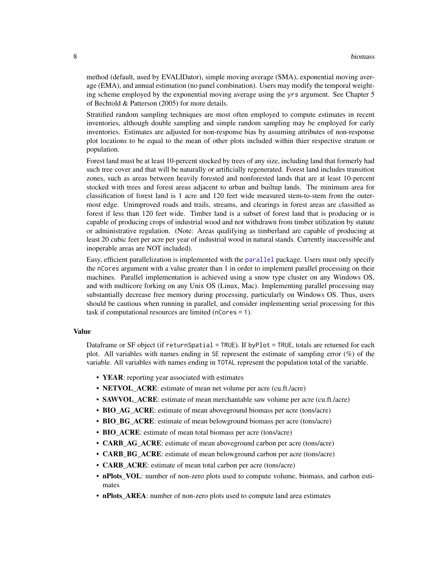<span id="page-7-0"></span>method (default, used by EVALIDator), simple moving average (SMA), exponential moving average (EMA), and annual estimation (no panel combination). Users may modify the temporal weighting scheme employed by the exponential moving average using the yrs argument. See Chapter 5 of Bechtold & Patterson (2005) for more details.

Stratified random sampling techniques are most often employed to compute estimates in recent inventories, although double sampling and simple random sampling may be employed for early inventories. Estimates are adjusted for non-response bias by assuming attributes of non-response plot locations to be equal to the mean of other plots included within thier respective stratum or population.

Forest land must be at least 10-percent stocked by trees of any size, including land that formerly had such tree cover and that will be naturally or artificially regenerated. Forest land includes transition zones, such as areas between heavily forested and nonforested lands that are at least 10-percent stocked with trees and forest areas adjacent to urban and builtup lands. The minimum area for classification of forest land is 1 acre and 120 feet wide measured stem-to-stem from the outermost edge. Unimproved roads and trails, streams, and clearings in forest areas are classified as forest if less than 120 feet wide. Timber land is a subset of forest land that is producing or is capable of producing crops of industrial wood and not withdrawn from timber utilization by statute or administrative regulation. (Note: Areas qualifying as timberland are capable of producing at least 20 cubic feet per acre per year of industrial wood in natural stands. Currently inaccessible and inoperable areas are NOT included).

Easy, efficient parallelization is implemented with the [parallel](#page-0-0) package. Users must only specify the nCores argument with a value greater than 1 in order to implement parallel processing on their machines. Parallel implementation is achieved using a snow type cluster on any Windows OS, and with multicore forking on any Unix OS (Linux, Mac). Implementing parallel processing may substantially decrease free memory during processing, particularly on Windows OS. Thus, users should be cautious when running in parallel, and consider implementing serial processing for this task if computational resources are limited (nCores = 1).

# Value

Dataframe or SF object (if returnSpatial = TRUE). If byPlot = TRUE, totals are returned for each plot. All variables with names ending in SE represent the estimate of sampling error (%) of the variable. All variables with names ending in TOTAL represent the population total of the variable.

- YEAR: reporting year associated with estimates
- **NETVOL\_ACRE:** estimate of mean net volume per acre (cu.ft./acre)
- SAWVOL\_ACRE: estimate of mean merchantable saw volume per acre (cu.ft./acre)
- BIO\_AG\_ACRE: estimate of mean aboveground biomass per acre (tons/acre)
- BIO BG ACRE: estimate of mean belowground biomass per acre (tons/acre)
- BIO ACRE: estimate of mean total biomass per acre (tons/acre)
- CARB\_AG\_ACRE: estimate of mean aboveground carbon per acre (tons/acre)
- **CARB BG** ACRE: estimate of mean belowground carbon per acre (tons/acre)
- **CARB ACRE**: estimate of mean total carbon per acre (tons/acre)
- nPlots VOL: number of non-zero plots used to compute volume, biomass, and carbon estimates
- nPlots\_AREA: number of non-zero plots used to compute land area estimates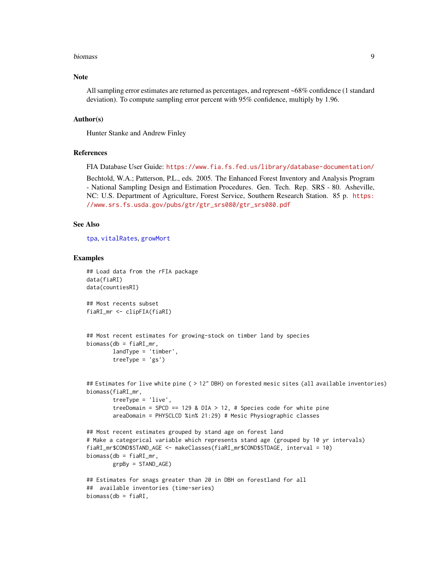#### <span id="page-8-0"></span>biomass 9

# Note

All sampling error estimates are returned as percentages, and represent ~68% confidence (1 standard deviation). To compute sampling error percent with 95% confidence, multiply by 1.96.

#### Author(s)

Hunter Stanke and Andrew Finley

#### References

FIA Database User Guide: <https://www.fia.fs.fed.us/library/database-documentation/>

Bechtold, W.A.; Patterson, P.L., eds. 2005. The Enhanced Forest Inventory and Analysis Program - National Sampling Design and Estimation Procedures. Gen. Tech. Rep. SRS - 80. Asheville, NC: U.S. Department of Agriculture, Forest Service, Southern Research Station. 85 p. [https:](https://www.srs.fs.usda.gov/pubs/gtr/gtr_srs080/gtr_srs080.pdf) [//www.srs.fs.usda.gov/pubs/gtr/gtr\\_srs080/gtr\\_srs080.pdf](https://www.srs.fs.usda.gov/pubs/gtr/gtr_srs080/gtr_srs080.pdf)

#### See Also

[tpa](#page-45-1), [vitalRates](#page-49-1), [growMort](#page-23-1)

#### Examples

```
## Load data from the rFIA package
data(fiaRI)
data(countiesRI)
## Most recents subset
fiaRI_mr <- clipFIA(fiaRI)
## Most recent estimates for growing-stock on timber land by species
biomass(db = fiaRI_mr,
        landType = 'timber',
        treeType = 'gs')
## Estimates for live white pine ( > 12" DBH) on forested mesic sites (all available inventories)
biomass(fiaRI_mr,
        treeType = 'live',
        treeDomain = SPCD == 129 & DIA > 12, # Species code for white pine
        areaDomain = PHYSCLCD %in% 21:29) # Mesic Physiographic classes
## Most recent estimates grouped by stand age on forest land
# Make a categorical variable which represents stand age (grouped by 10 yr intervals)
fiaRI_mr$COND$STAND_AGE <- makeClasses(fiaRI_mr$COND$STDAGE, interval = 10)
biomass(db = fiaRI_mr,
        grpBy = STAND_AGE)
## Estimates for snags greater than 20 in DBH on forestland for all
## available inventories (time-series)
```
biomass(db = fiaRI,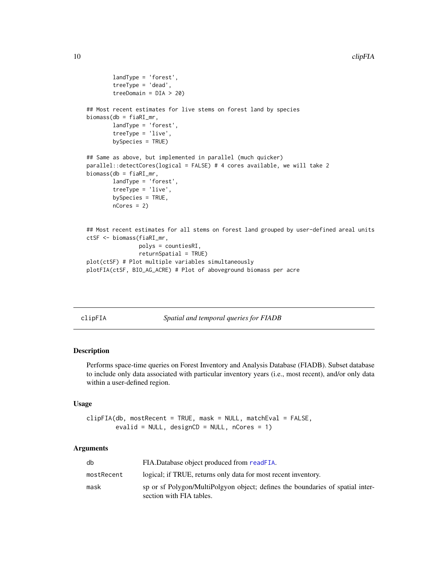```
landType = 'forest',
        treeType = 'dead',
        treeDomain = DIA > 20)
## Most recent estimates for live stems on forest land by species
biomass(db = fiaRI_mr,
       landType = 'forest',
        treeType = 'live',
        bySpecies = TRUE)
## Same as above, but implemented in parallel (much quicker)
parallel::detectCores(logical = FALSE) # 4 cores available, we will take 2
biomass(db = fiaRI_mr,
        landType = 'forest',
        treeType = 'live',
       bySpecies = TRUE,
        nCores = 2)
## Most recent estimates for all stems on forest land grouped by user-defined areal units
ctSF <- biomass(fiaRI_mr,
                polys = countiesRI,
                returnSpatial = TRUE)
plot(ctSF) # Plot multiple variables simultaneously
plotFIA(ctSF, BIO_AG_ACRE) # Plot of aboveground biomass per acre
```
<span id="page-9-1"></span>

| clipFIA | Spatial and temporal queries for FIADB |  |
|---------|----------------------------------------|--|

# Description

Performs space-time queries on Forest Inventory and Analysis Database (FIADB). Subset database to include only data associated with particular inventory years (i.e., most recent), and/or only data within a user-defined region.

#### Usage

clipFIA(db, mostRecent = TRUE, mask = NULL, matchEval = FALSE, evalid = NULL, designCD = NULL, nCores = 1)

| db         | FIA.Database object produced from readFIA.                                                                 |
|------------|------------------------------------------------------------------------------------------------------------|
| mostRecent | logical; if TRUE, returns only data for most recent inventory.                                             |
| mask       | sp or sf Polygon/MultiPolgyon object; defines the boundaries of spatial inter-<br>section with FIA tables. |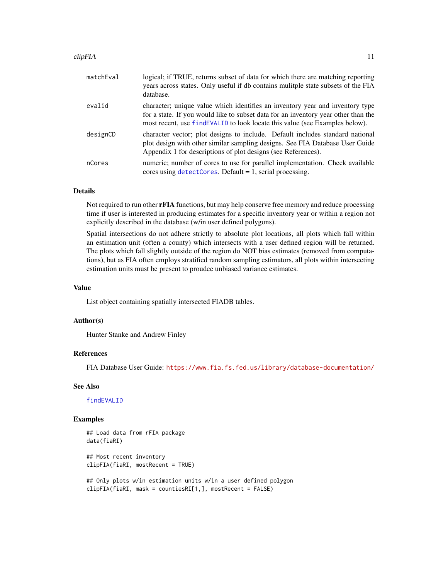#### <span id="page-10-0"></span>clipFIA to the contract of the contract of the contract of the contract of the contract of the contract of the contract of the contract of the contract of the contract of the contract of the contract of the contract of the

| matchEval | logical; if TRUE, returns subset of data for which there are matching reporting<br>years across states. Only useful if db contains mulitple state subsets of the FIA<br>database.                                                                    |
|-----------|------------------------------------------------------------------------------------------------------------------------------------------------------------------------------------------------------------------------------------------------------|
| evalid    | character; unique value which identifies an inventory year and inventory type<br>for a state. If you would like to subset data for an inventory year other than the<br>most recent, use f ind EVALID to look locate this value (see Examples below). |
| designCD  | character vector; plot designs to include. Default includes standard national<br>plot design with other similar sampling designs. See FIA Database User Guide<br>Appendix 1 for descriptions of plot designs (see References).                       |
| nCores    | numeric; number of cores to use for parallel implementation. Check available<br>cores using $detectCores$ . Default = 1, serial processing.                                                                                                          |

# Details

Not required to run other **rFIA** functions, but may help conserve free memory and reduce processing time if user is interested in producing estimates for a specific inventory year or within a region not explicitly described in the database (w/in user defined polygons).

Spatial intersections do not adhere strictly to absolute plot locations, all plots which fall within an estimation unit (often a county) which intersects with a user defined region will be returned. The plots which fall slightly outside of the region do NOT bias estimates (removed from computations), but as FIA often employs stratified random sampling estimators, all plots within intersecting estimation units must be present to proudce unbiased variance estimates.

#### Value

List object containing spatially intersected FIADB tables.

#### Author(s)

Hunter Stanke and Andrew Finley

### References

FIA Database User Guide: <https://www.fia.fs.fed.us/library/database-documentation/>

#### See Also

[findEVALID](#page-20-1)

#### Examples

```
## Load data from rFIA package
data(fiaRI)
## Most recent inventory
clipFIA(fiaRI, mostRecent = TRUE)
## Only plots w/in estimation units w/in a user defined polygon
clipFIA(fiaRI, mask = countiesRI[1,], mostRecent = FALSE)
```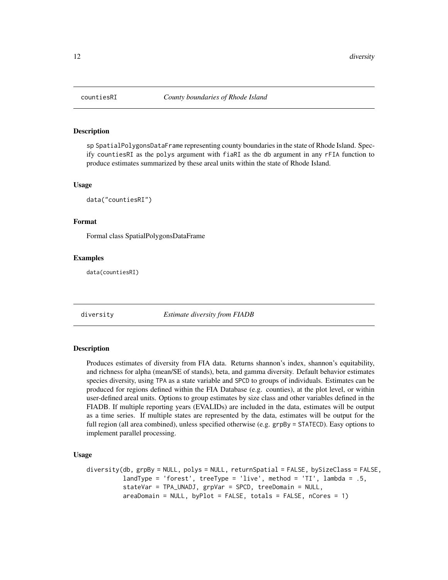<span id="page-11-0"></span>

# **Description**

sp SpatialPolygonsDataFrame representing county boundaries in the state of Rhode Island. Specify countiesRI as the polys argument with fiaRI as the db argument in any rFIA function to produce estimates summarized by these areal units within the state of Rhode Island.

#### Usage

data("countiesRI")

# Format

Formal class SpatialPolygonsDataFrame

#### Examples

data(countiesRI)

<span id="page-11-1"></span>diversity *Estimate diversity from FIADB*

# Description

Produces estimates of diversity from FIA data. Returns shannon's index, shannon's equitability, and richness for alpha (mean/SE of stands), beta, and gamma diversity. Default behavior estimates species diversity, using TPA as a state variable and SPCD to groups of individuals. Estimates can be produced for regions defined within the FIA Database (e.g. counties), at the plot level, or within user-defined areal units. Options to group estimates by size class and other variables defined in the FIADB. If multiple reporting years (EVALIDs) are included in the data, estimates will be output as a time series. If multiple states are represented by the data, estimates will be output for the full region (all area combined), unless specified otherwise (e.g. grpBy = STATECD). Easy options to implement parallel processing.

# Usage

```
diversity(db, grpBy = NULL, polys = NULL, returnSpatial = FALSE, bySizeClass = FALSE,
          landType = 'forest', treeType = 'live', method = 'TI', lambda = .5,
          stateVar = TPA_UNADJ, grpVar = SPCD, treeDomain = NULL,
          areaDomain = NULL, byPlot = FALSE, totals = FALSE, nCores = 1)
```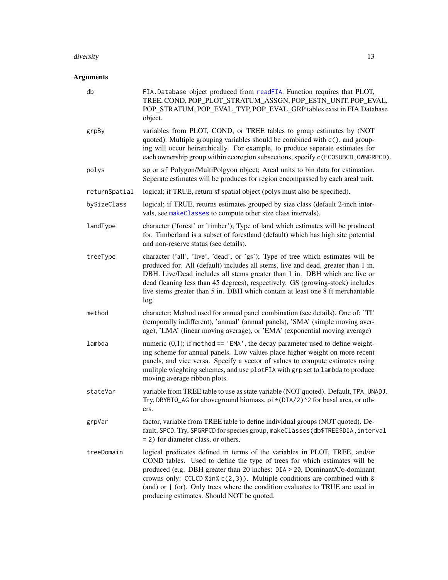#### <span id="page-12-0"></span>diversity and the contract of the contract of the contract of the contract of the contract of the contract of the contract of the contract of the contract of the contract of the contract of the contract of the contract of

| db            | FIA.Database object produced from readFIA. Function requires that PLOT,<br>TREE, COND, POP_PLOT_STRATUM_ASSGN, POP_ESTN_UNIT, POP_EVAL,<br>POP_STRATUM, POP_EVAL_TYP, POP_EVAL_GRP tables exist in FIA.Database<br>object.                                                                                                                                                                                                                              |
|---------------|---------------------------------------------------------------------------------------------------------------------------------------------------------------------------------------------------------------------------------------------------------------------------------------------------------------------------------------------------------------------------------------------------------------------------------------------------------|
| grpBy         | variables from PLOT, COND, or TREE tables to group estimates by (NOT<br>quoted). Multiple grouping variables should be combined with c(), and group-<br>ing will occur heirarchically. For example, to produce seperate estimates for<br>each ownership group within ecoregion subsections, specify c (ECOSUBCD, OWNGRPCD).                                                                                                                             |
| polys         | sp or sf Polygon/MultiPolgyon object; Areal units to bin data for estimation.<br>Seperate estimates will be produces for region encompassed by each areal unit.                                                                                                                                                                                                                                                                                         |
| returnSpatial | logical; if TRUE, return sf spatial object (polys must also be specified).                                                                                                                                                                                                                                                                                                                                                                              |
| bySizeClass   | logical; if TRUE, returns estimates grouped by size class (default 2-inch inter-<br>vals, see makeClasses to compute other size class intervals).                                                                                                                                                                                                                                                                                                       |
| landType      | character ('forest' or 'timber'); Type of land which estimates will be produced<br>for. Timberland is a subset of forestland (default) which has high site potential<br>and non-reserve status (see details).                                                                                                                                                                                                                                           |
| treeType      | character ('all', 'live', 'dead', or 'gs'); Type of tree which estimates will be<br>produced for. All (default) includes all stems, live and dead, greater than 1 in.<br>DBH. Live/Dead includes all stems greater than 1 in. DBH which are live or<br>dead (leaning less than 45 degrees), respectively. GS (growing-stock) includes<br>live stems greater than 5 in. DBH which contain at least one 8 ft merchantable<br>log.                         |
| method        | character; Method used for annual panel combination (see details). One of: 'TI'<br>(temporally indifferent), 'annual' (annual panels), 'SMA' (simple moving aver-<br>age), 'LMA' (linear moving average), or 'EMA' (exponential moving average)                                                                                                                                                                                                         |
| lambda        | numeric $(0,1)$ ; if method == 'EMA', the decay parameter used to define weight-<br>ing scheme for annual panels. Low values place higher weight on more recent<br>panels, and vice versa. Specify a vector of values to compute estimates using<br>mulitple wieghting schemes, and use plotFIA with grp set to lambda to produce<br>moving average ribbon plots.                                                                                       |
| stateVar      | variable from TREE table to use as state variable (NOT quoted). Default, TPA_UNADJ.<br>Try, DRYBIO_AG for aboveground biomass, pi*(DIA/2)^2 for basal area, or oth-<br>ers.                                                                                                                                                                                                                                                                             |
| grpVar        | factor, variable from TREE table to define individual groups (NOT quoted). De-<br>fault, SPCD. Try, SPGRPCD for species group, makeClasses(db\$TREE\$DIA, interval<br>= 2) for diameter class, or others.                                                                                                                                                                                                                                               |
| treeDomain    | logical predicates defined in terms of the variables in PLOT, TREE, and/or<br>COND tables. Used to define the type of trees for which estimates will be<br>produced (e.g. DBH greater than 20 inches: DIA > 20, Dominant/Co-dominant<br>crowns only: CCLCD %in% $c(2,3)$ ). Multiple conditions are combined with &<br>(and) or $\mid$ (or). Only trees where the condition evaluates to TRUE are used in<br>producing estimates. Should NOT be quoted. |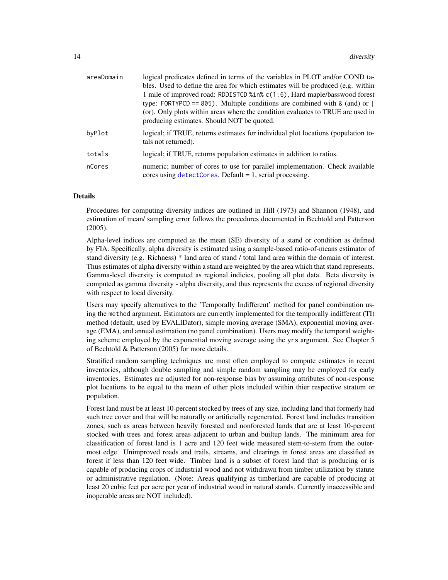<span id="page-13-0"></span>

| areaDomain | logical predicates defined in terms of the variables in PLOT and/or COND ta-                                                                                                                                                                                                                   |
|------------|------------------------------------------------------------------------------------------------------------------------------------------------------------------------------------------------------------------------------------------------------------------------------------------------|
|            | bles. Used to define the area for which estimates will be produced (e.g. within                                                                                                                                                                                                                |
|            | 1 mile of improved road: RDDISTCD %in% c(1:6), Hard maple/basswood forest<br>type: FORTYPCD == 805). Multiple conditions are combined with & (and) or $\vert$<br>(or). Only plots within areas where the condition evaluates to TRUE are used in<br>producing estimates. Should NOT be quoted. |
| byPlot     | logical; if TRUE, returns estimates for individual plot locations (population to-<br>tals not returned).                                                                                                                                                                                       |
| totals     | logical; if TRUE, returns population estimates in addition to ratios.                                                                                                                                                                                                                          |
| nCores     | numeric; number of cores to use for parallel implementation. Check available<br>cores using $detectCores$ . Default = 1, serial processing.                                                                                                                                                    |

# Details

Procedures for computing diversity indices are outlined in Hill (1973) and Shannon (1948), and estimation of mean/ sampling error follows the procedures documented in Bechtold and Patterson (2005).

Alpha-level indices are computed as the mean (SE) diversity of a stand or condition as defined by FIA. Specifically, alpha diversity is estimated using a sample-based ratio-of-means estimator of stand diversity (e.g. Richness) \* land area of stand / total land area within the domain of interest. Thus estimates of alpha diversity within a stand are weighted by the area which that stand represents. Gamma-level diversity is computed as regional indicies, pooling all plot data. Beta diversity is computed as gamma diversity - alpha diversity, and thus represents the excess of regional diversity with respect to local diversity.

Users may specify alternatives to the 'Temporally Indifferent' method for panel combination using the method argument. Estimators are currently implemented for the temporally indifferent (TI) method (default, used by EVALIDator), simple moving average (SMA), exponential moving average (EMA), and annual estimation (no panel combination). Users may modify the temporal weighting scheme employed by the exponential moving average using the yrs argument. See Chapter 5 of Bechtold & Patterson (2005) for more details.

Stratified random sampling techniques are most often employed to compute estimates in recent inventories, although double sampling and simple random sampling may be employed for early inventories. Estimates are adjusted for non-response bias by assuming attributes of non-response plot locations to be equal to the mean of other plots included within thier respective stratum or population.

Forest land must be at least 10-percent stocked by trees of any size, including land that formerly had such tree cover and that will be naturally or artificially regenerated. Forest land includes transition zones, such as areas between heavily forested and nonforested lands that are at least 10-percent stocked with trees and forest areas adjacent to urban and builtup lands. The minimum area for classification of forest land is 1 acre and 120 feet wide measured stem-to-stem from the outermost edge. Unimproved roads and trails, streams, and clearings in forest areas are classified as forest if less than 120 feet wide. Timber land is a subset of forest land that is producing or is capable of producing crops of industrial wood and not withdrawn from timber utilization by statute or administrative regulation. (Note: Areas qualifying as timberland are capable of producing at least 20 cubic feet per acre per year of industrial wood in natural stands. Currently inaccessible and inoperable areas are NOT included).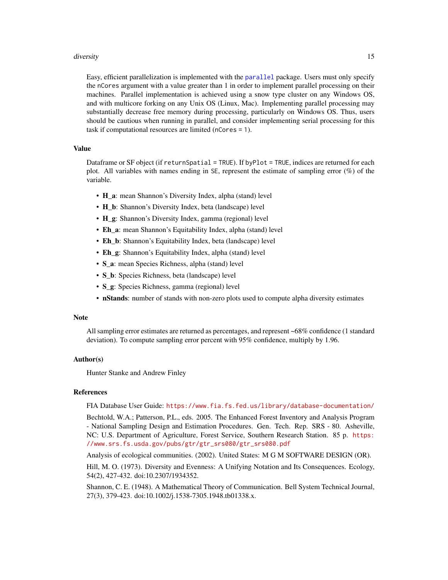#### <span id="page-14-0"></span>diversity and the contract of the contract of the contract of the contract of the contract of the contract of the contract of the contract of the contract of the contract of the contract of the contract of the contract of

Easy, efficient parallelization is implemented with the [parallel](#page-0-0) package. Users must only specify the nCores argument with a value greater than 1 in order to implement parallel processing on their machines. Parallel implementation is achieved using a snow type cluster on any Windows OS, and with multicore forking on any Unix OS (Linux, Mac). Implementing parallel processing may substantially decrease free memory during processing, particularly on Windows OS. Thus, users should be cautious when running in parallel, and consider implementing serial processing for this task if computational resources are limited (nCores = 1).

#### Value

Dataframe or SF object (if returnSpatial = TRUE). If byPlot = TRUE, indices are returned for each plot. All variables with names ending in SE, represent the estimate of sampling error (%) of the variable.

- H a: mean Shannon's Diversity Index, alpha (stand) level
- H\_b: Shannon's Diversity Index, beta (landscape) level
- H g: Shannon's Diversity Index, gamma (regional) level
- Eh\_a: mean Shannon's Equitability Index, alpha (stand) level
- Eh\_b: Shannon's Equitability Index, beta (landscape) level
- Eh\_g: Shannon's Equitability Index, alpha (stand) level
- S\_a: mean Species Richness, alpha (stand) level
- S\_b: Species Richness, beta (landscape) level
- S\_g: Species Richness, gamma (regional) level
- nStands: number of stands with non-zero plots used to compute alpha diversity estimates

#### **Note**

All sampling error estimates are returned as percentages, and represent ~68% confidence (1 standard deviation). To compute sampling error percent with 95% confidence, multiply by 1.96.

#### Author(s)

Hunter Stanke and Andrew Finley

#### References

FIA Database User Guide: <https://www.fia.fs.fed.us/library/database-documentation/>

Bechtold, W.A.; Patterson, P.L., eds. 2005. The Enhanced Forest Inventory and Analysis Program - National Sampling Design and Estimation Procedures. Gen. Tech. Rep. SRS - 80. Asheville, NC: U.S. Department of Agriculture, Forest Service, Southern Research Station. 85 p. [https:](https://www.srs.fs.usda.gov/pubs/gtr/gtr_srs080/gtr_srs080.pdf) [//www.srs.fs.usda.gov/pubs/gtr/gtr\\_srs080/gtr\\_srs080.pdf](https://www.srs.fs.usda.gov/pubs/gtr/gtr_srs080/gtr_srs080.pdf)

Analysis of ecological communities. (2002). United States: M G M SOFTWARE DESIGN (OR).

Hill, M. O. (1973). Diversity and Evenness: A Unifying Notation and Its Consequences. Ecology, 54(2), 427-432. doi:10.2307/1934352.

Shannon, C. E. (1948). A Mathematical Theory of Communication. Bell System Technical Journal, 27(3), 379-423. doi:10.1002/j.1538-7305.1948.tb01338.x.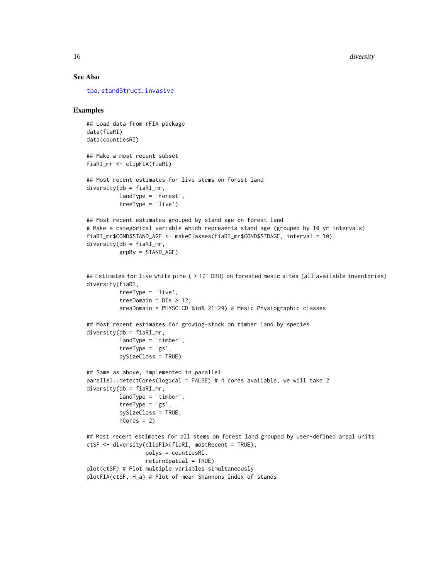# See Also

[tpa](#page-45-1), [standStruct](#page-41-1), [invasive](#page-28-1)

#### Examples

## Load data from rFIA package data(fiaRI) data(countiesRI) ## Make a most recent subset fiaRI\_mr <- clipFIA(fiaRI) ## Most recent estimates for live stems on forest land  $diversity(db = fiaRI_mr,$ landType = 'forest', treeType = 'live') ## Most recent estimates grouped by stand age on forest land # Make a categorical variable which represents stand age (grouped by 10 yr intervals) fiaRI\_mr\$COND\$STAND\_AGE <- makeClasses(fiaRI\_mr\$COND\$STDAGE, interval = 10) diversity(db = fiaRI\_mr, grpBy = STAND\_AGE) ## Estimates for live white pine ( > 12" DBH) on forested mesic sites (all available inventories) diversity(fiaRI, treeType = 'live', treeDomain =  $DIA > 12$ , areaDomain = PHYSCLCD %in% 21:29) # Mesic Physiographic classes ## Most recent estimates for growing-stock on timber land by species  $diversity(db = fiaRI_mr,$ landType = 'timber', treeType = 'gs', bySizeClass = TRUE) ## Same as above, implemented in parallel parallel::detectCores(logical = FALSE) # 4 cores available, we will take 2  $diversity(db = fiaRI_mr,$ landType = 'timber', treeType = 'gs', bySizeClass = TRUE, nCores = 2) ## Most recent estimates for all stems on forest land grouped by user-defined areal units ctSF <- diversity(clipFIA(fiaRI, mostRecent = TRUE), polys = countiesRI, returnSpatial = TRUE) plot(ctSF) # Plot multiple variables simultaneously plotFIA(ctSF, H\_a) # Plot of mean Shannons Index of stands

<span id="page-15-0"></span>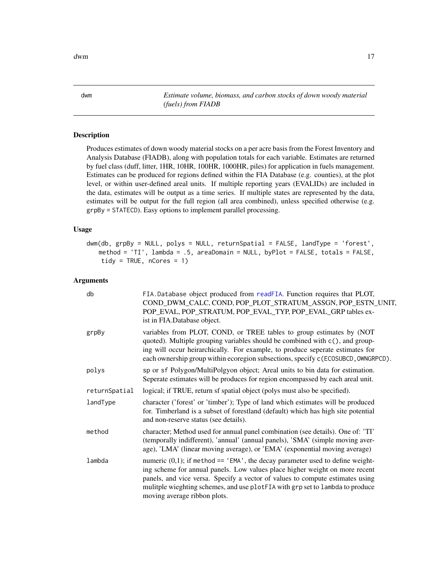<span id="page-16-0"></span>

<span id="page-16-1"></span>dwm *Estimate volume, biomass, and carbon stocks of down woody material (fuels) from FIADB*

## Description

Produces estimates of down woody material stocks on a per acre basis from the Forest Inventory and Analysis Database (FIADB), along with population totals for each variable. Estimates are returned by fuel class (duff, litter, 1HR, 10HR, 100HR, 1000HR, piles) for application in fuels management. Estimates can be produced for regions defined within the FIA Database (e.g. counties), at the plot level, or within user-defined areal units. If multiple reporting years (EVALIDs) are included in the data, estimates will be output as a time series. If multiple states are represented by the data, estimates will be output for the full region (all area combined), unless specified otherwise (e.g. grpBy = STATECD). Easy options to implement parallel processing.

#### Usage

```
dwm(db, grpBy = NULL, polys = NULL, return Spatial = FALSE, landType = 'forest'.method = 'TI', lambda = .5, areaDomain = NULL, byPlot = FALSE, totals = FALSE,
   tidy = TRUE, nCores = 1)
```

| db            | FIA.Database object produced from readFIA. Function requires that PLOT,<br>COND_DWM_CALC, COND, POP_PLOT_STRATUM_ASSGN, POP_ESTN_UNIT,<br>POP_EVAL, POP_STRATUM, POP_EVAL_TYP, POP_EVAL_GRP tables ex-<br>ist in FIA.Database object.                                                                                                                             |
|---------------|-------------------------------------------------------------------------------------------------------------------------------------------------------------------------------------------------------------------------------------------------------------------------------------------------------------------------------------------------------------------|
| grpBy         | variables from PLOT, COND, or TREE tables to group estimates by (NOT<br>quoted). Multiple grouping variables should be combined with c(), and group-<br>ing will occur heirarchically. For example, to produce seperate estimates for<br>each ownership group within ecoregion subsections, specify c(ECOSUBCD, OWNGRPCD).                                        |
| polys         | sp or sf Polygon/MultiPolgyon object; Areal units to bin data for estimation.<br>Seperate estimates will be produces for region encompassed by each areal unit.                                                                                                                                                                                                   |
| returnSpatial | logical; if TRUE, return sf spatial object (polys must also be specified).                                                                                                                                                                                                                                                                                        |
| landType      | character ('forest' or 'timber'); Type of land which estimates will be produced<br>for. Timberland is a subset of forestland (default) which has high site potential<br>and non-reserve status (see details).                                                                                                                                                     |
| method        | character; Method used for annual panel combination (see details). One of: 'TI'<br>(temporally indifferent), 'annual' (annual panels), 'SMA' (simple moving aver-<br>age), 'LMA' (linear moving average), or 'EMA' (exponential moving average)                                                                                                                   |
| lambda        | numeric $(0,1)$ ; if method == 'EMA', the decay parameter used to define weight-<br>ing scheme for annual panels. Low values place higher weight on more recent<br>panels, and vice versa. Specify a vector of values to compute estimates using<br>mulitple wieghting schemes, and use plotFIA with grp set to lambda to produce<br>moving average ribbon plots. |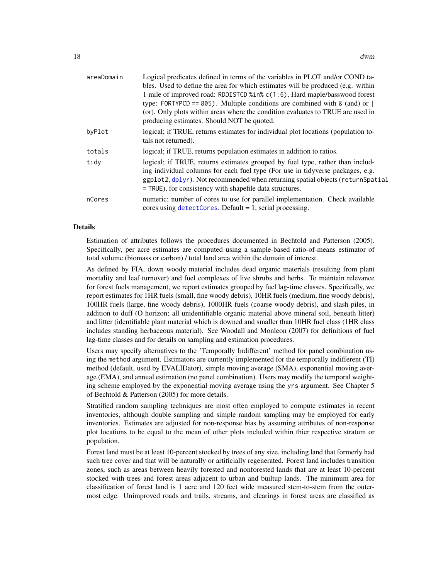<span id="page-17-0"></span>

| areaDomain | Logical predicates defined in terms of the variables in PLOT and/or COND ta-<br>bles. Used to define the area for which estimates will be produced (e.g. within<br>1 mile of improved road: RDDISTCD %in% c(1:6), Hard maple/basswood forest<br>type: FORTYPCD == 805). Multiple conditions are combined with $\&$ (and) or $\parallel$<br>(or). Only plots within areas where the condition evaluates to TRUE are used in<br>producing estimates. Should NOT be quoted. |
|------------|--------------------------------------------------------------------------------------------------------------------------------------------------------------------------------------------------------------------------------------------------------------------------------------------------------------------------------------------------------------------------------------------------------------------------------------------------------------------------|
| byPlot     | logical; if TRUE, returns estimates for individual plot locations (population to-<br>tals not returned).                                                                                                                                                                                                                                                                                                                                                                 |
| totals     | logical; if TRUE, returns population estimates in addition to ratios.                                                                                                                                                                                                                                                                                                                                                                                                    |
| tidy       | logical; if TRUE, returns estimates grouped by fuel type, rather than includ-<br>ing individual columns for each fuel type (For use in tidyverse packages, e.g.<br>ggplot2, dplyr). Not recommended when returning spatial objects (returnSpatial<br>= TRUE), for consistency with shapefile data structures.                                                                                                                                                            |
| nCores     | numeric; number of cores to use for parallel implementation. Check available<br>cores using $detect{\text{Cores}}$ . Default = 1, serial processing.                                                                                                                                                                                                                                                                                                                     |

#### Details

Estimation of attributes follows the procedures documented in Bechtold and Patterson (2005). Specifically, per acre estimates are computed using a sample-based ratio-of-means estimator of total volume (biomass or carbon) / total land area within the domain of interest.

As defined by FIA, down woody material includes dead organic materials (resulting from plant mortality and leaf turnover) and fuel complexes of live shrubs and herbs. To maintain relevance for forest fuels management, we report estimates grouped by fuel lag-time classes. Specifically, we report estimates for 1HR fuels (small, fine woody debris), 10HR fuels (medium, fine woody debris), 100HR fuels (large, fine woody debris), 1000HR fuels (coarse woody debris), and slash piles, in addition to duff (O horizon; all unidentifiable organic material above mineral soil, beneath litter) and litter (identifiable plant material which is downed and smaller than 10HR fuel class (1HR class includes standing herbaceous material). See Woodall and Monleon (2007) for definitions of fuel lag-time classes and for details on sampling and estimation procedures.

Users may specify alternatives to the 'Temporally Indifferent' method for panel combination using the method argument. Estimators are currently implemented for the temporally indifferent (TI) method (default, used by EVALIDator), simple moving average (SMA), exponential moving average (EMA), and annual estimation (no panel combination). Users may modify the temporal weighting scheme employed by the exponential moving average using the yrs argument. See Chapter 5 of Bechtold & Patterson (2005) for more details.

Stratified random sampling techniques are most often employed to compute estimates in recent inventories, although double sampling and simple random sampling may be employed for early inventories. Estimates are adjusted for non-response bias by assuming attributes of non-response plot locations to be equal to the mean of other plots included within thier respective stratum or population.

Forest land must be at least 10-percent stocked by trees of any size, including land that formerly had such tree cover and that will be naturally or artificially regenerated. Forest land includes transition zones, such as areas between heavily forested and nonforested lands that are at least 10-percent stocked with trees and forest areas adjacent to urban and builtup lands. The minimum area for classification of forest land is 1 acre and 120 feet wide measured stem-to-stem from the outermost edge. Unimproved roads and trails, streams, and clearings in forest areas are classified as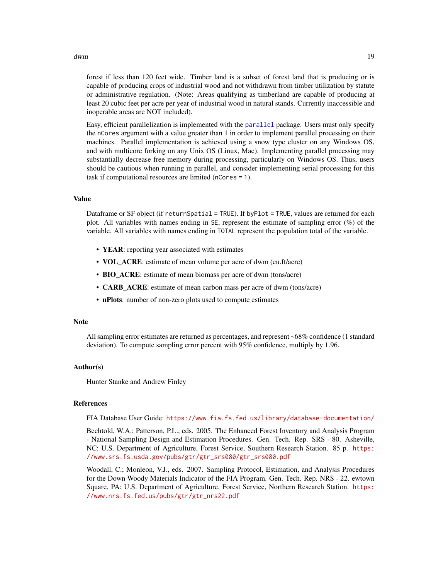<span id="page-18-0"></span>dwm and the contract of the contract of the contract of the contract of the contract of the contract of the contract of the contract of the contract of the contract of the contract of the contract of the contract of the co

forest if less than 120 feet wide. Timber land is a subset of forest land that is producing or is capable of producing crops of industrial wood and not withdrawn from timber utilization by statute or administrative regulation. (Note: Areas qualifying as timberland are capable of producing at least 20 cubic feet per acre per year of industrial wood in natural stands. Currently inaccessible and inoperable areas are NOT included).

Easy, efficient parallelization is implemented with the [parallel](#page-0-0) package. Users must only specify the nCores argument with a value greater than 1 in order to implement parallel processing on their machines. Parallel implementation is achieved using a snow type cluster on any Windows OS, and with multicore forking on any Unix OS (Linux, Mac). Implementing parallel processing may substantially decrease free memory during processing, particularly on Windows OS. Thus, users should be cautious when running in parallel, and consider implementing serial processing for this task if computational resources are limited (nCores = 1).

#### Value

Dataframe or SF object (if returnSpatial = TRUE). If byPlot = TRUE, values are returned for each plot. All variables with names ending in SE, represent the estimate of sampling error (%) of the variable. All variables with names ending in TOTAL represent the population total of the variable.

- YEAR: reporting year associated with estimates
- VOL\_ACRE: estimate of mean volume per acre of dwm (cu.ft/acre)
- BIO\_ACRE: estimate of mean biomass per acre of dwm (tons/acre)
- **CARB** ACRE: estimate of mean carbon mass per acre of dwm (tons/acre)
- nPlots: number of non-zero plots used to compute estimates

#### Note

All sampling error estimates are returned as percentages, and represent ~68% confidence (1 standard deviation). To compute sampling error percent with 95% confidence, multiply by 1.96.

#### Author(s)

Hunter Stanke and Andrew Finley

#### References

FIA Database User Guide: <https://www.fia.fs.fed.us/library/database-documentation/>

Bechtold, W.A.; Patterson, P.L., eds. 2005. The Enhanced Forest Inventory and Analysis Program - National Sampling Design and Estimation Procedures. Gen. Tech. Rep. SRS - 80. Asheville, NC: U.S. Department of Agriculture, Forest Service, Southern Research Station. 85 p. [https:](https://www.srs.fs.usda.gov/pubs/gtr/gtr_srs080/gtr_srs080.pdf) [//www.srs.fs.usda.gov/pubs/gtr/gtr\\_srs080/gtr\\_srs080.pdf](https://www.srs.fs.usda.gov/pubs/gtr/gtr_srs080/gtr_srs080.pdf)

Woodall, C.; Monleon, V.J., eds. 2007. Sampling Protocol, Estimation, and Analysis Procedures for the Down Woody Materials Indicator of the FIA Program. Gen. Tech. Rep. NRS - 22. ewtown Square, PA: U.S. Department of Agriculture, Forest Service, Northern Research Station. [https:](https://www.nrs.fs.fed.us/pubs/gtr/gtr_nrs22.pdf) [//www.nrs.fs.fed.us/pubs/gtr/gtr\\_nrs22.pdf](https://www.nrs.fs.fed.us/pubs/gtr/gtr_nrs22.pdf)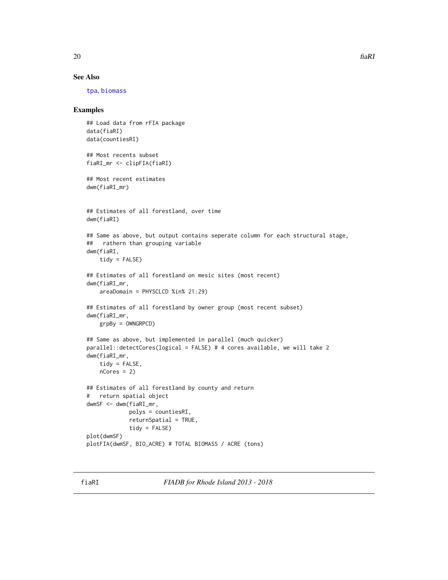# <span id="page-19-0"></span>See Also

[tpa](#page-45-1), [biomass](#page-5-1)

# Examples

```
## Load data from rFIA package
data(fiaRI)
data(countiesRI)
## Most recents subset
fiaRI_mr <- clipFIA(fiaRI)
## Most recent estimates
dwm(fiaRI_mr)
## Estimates of all forestland, over time
dwm(fiaRI)
## Same as above, but output contains seperate column for each structural stage,
## rathern than grouping variable
dwm(fiaRI,
    tidy = FALSE)
## Estimates of all forestland on mesic sites (most recent)
dwm(fiaRI_mr,
    areaDomain = PHYSCLCD %in% 21:29)
## Estimates of all forestland by owner group (most recent subset)
dwm(fiaRI_mr,
   grpBy = OWNGRPCD)
## Same as above, but implemented in parallel (much quicker)
parallel::detectCores(logical = FALSE) # 4 cores available, we will take 2
dwm(fiaRI_mr,
    tidy = FALSE,
   nCores = 2## Estimates of all forestland by county and return
# return spatial object
dwmSF <- dwm(fiaRI_mr,
             polys = countiesRI,
             returnSpatial = TRUE,
             tidy = FALSE)
plot(dwmSF)
plotFIA(dwmSF, BIO_ACRE) # TOTAL BIOMASS / ACRE (tons)
```
fiaRI *FIADB for Rhode Island 2013 - 2018*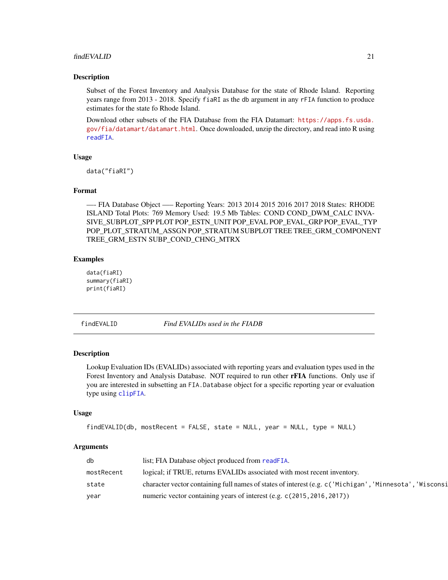#### <span id="page-20-0"></span>findEVALID 21

#### Description

Subset of the Forest Inventory and Analysis Database for the state of Rhode Island. Reporting years range from 2013 - 2018. Specify fiaRI as the db argument in any rFIA function to produce estimates for the state fo Rhode Island.

Download other subsets of the FIA Database from the FIA Datamart: [https://apps.fs.usda.](https://apps.fs.usda.gov/fia/datamart/datamart.html) [gov/fia/datamart/datamart.html](https://apps.fs.usda.gov/fia/datamart/datamart.html). Once downloaded, unzip the directory, and read into R using [readFIA](#page-35-1).

#### Usage

```
data("fiaRI")
```
#### Format

—- FIA Database Object —– Reporting Years: 2013 2014 2015 2016 2017 2018 States: RHODE ISLAND Total Plots: 769 Memory Used: 19.5 Mb Tables: COND COND\_DWM\_CALC INVA-SIVE\_SUBPLOT\_SPP PLOT POP\_ESTN\_UNIT POP\_EVAL POP\_EVAL\_GRP POP\_EVAL\_TYP POP\_PLOT\_STRATUM\_ASSGN POP\_STRATUM SUBPLOT TREE TREE\_GRM\_COMPONENT TREE\_GRM\_ESTN SUBP\_COND\_CHNG\_MTRX

#### Examples

```
data(fiaRI)
summary(fiaRI)
print(fiaRI)
```
<span id="page-20-1"></span>findEVALID *Find EVALIDs used in the FIADB*

#### Description

Lookup Evaluation IDs (EVALIDs) associated with reporting years and evaluation types used in the Forest Inventory and Analysis Database. NOT required to run other rFIA functions. Only use if you are interested in subsetting an FIA.Database object for a specific reporting year or evaluation type using [clipFIA](#page-9-1).

#### Usage

```
findEVALID(db, mostRecent = FALSE, state = NULL, year = NULL, type = NULL)
```

| db         | list; FIA Database object produced from readFIA.                                                         |
|------------|----------------------------------------------------------------------------------------------------------|
| mostRecent | logical; if TRUE, returns EVALIDs associated with most recent inventory.                                 |
| state      | character vector containing full names of states of interest (e.g. c ('Michigan', 'Minnesota', 'Wisconsi |
| vear       | numeric vector containing years of interest (e.g. c(2015, 2016, 2017))                                   |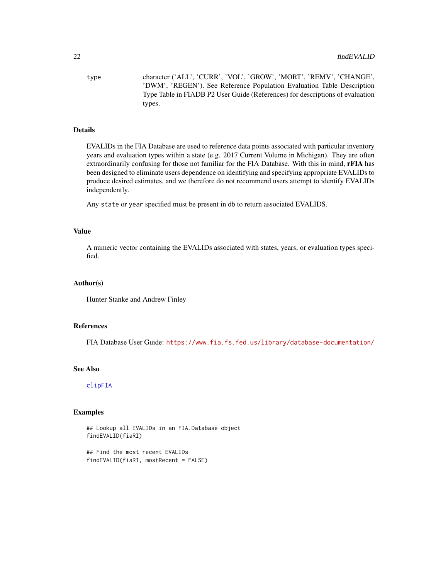<span id="page-21-0"></span>type character ('ALL', 'CURR', 'VOL', 'GROW', 'MORT', 'REMV', 'CHANGE', 'DWM', 'REGEN'). See Reference Population Evaluation Table Description Type Table in FIADB P2 User Guide (References) for descriptions of evaluation types.

#### Details

EVALIDs in the FIA Database are used to reference data points associated with particular inventory years and evaluation types within a state (e.g. 2017 Current Volume in Michigan). They are often extraordinarily confusing for those not familiar for the FIA Database. With this in mind, **rFIA** has been designed to eliminate users dependence on identifying and specifying appropriate EVALIDs to produce desired estimates, and we therefore do not recommend users attempt to identify EVALIDs independently.

Any state or year specified must be present in db to return associated EVALIDS.

#### Value

A numeric vector containing the EVALIDs associated with states, years, or evaluation types specified.

#### Author(s)

Hunter Stanke and Andrew Finley

#### References

FIA Database User Guide: <https://www.fia.fs.fed.us/library/database-documentation/>

#### See Also

[clipFIA](#page-9-1)

#### Examples

## Lookup all EVALIDs in an FIA.Database object findEVALID(fiaRI)

## Find the most recent EVALIDs findEVALID(fiaRI, mostRecent = FALSE)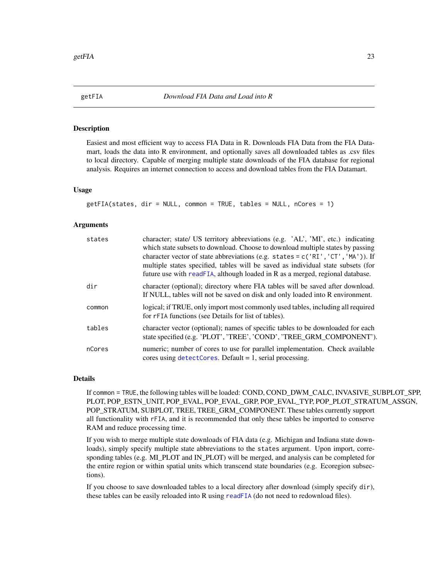<span id="page-22-1"></span><span id="page-22-0"></span>

# Description

Easiest and most efficient way to access FIA Data in R. Downloads FIA Data from the FIA Datamart, loads the data into R environment, and optionally saves all downloaded tables as .csv files to local directory. Capable of merging multiple state downloads of the FIA database for regional analysis. Requires an internet connection to access and download tables from the FIA Datamart.

#### Usage

```
getFIA(states, dir = NULL, common = TRUE, tables = NULL, nCores = 1)
```
# Arguments

| states | character; state/ US territory abbreviations (e.g. 'AL', 'MI', etc.) indicating<br>which state subsets to download. Choose to download multiple states by passing<br>character vector of state abbreviations (e.g. states = $c('RI', 'CT', 'MA'))$ ). If<br>multiple states specified, tables will be saved as individual state subsets (for<br>future use with readFIA, although loaded in R as a merged, regional database. |
|--------|-------------------------------------------------------------------------------------------------------------------------------------------------------------------------------------------------------------------------------------------------------------------------------------------------------------------------------------------------------------------------------------------------------------------------------|
| dir    | character (optional); directory where FIA tables will be saved after download.<br>If NULL, tables will not be saved on disk and only loaded into R environment.                                                                                                                                                                                                                                                               |
| common | logical; if TRUE, only import most commonly used tables, including all required<br>for rFIA functions (see Details for list of tables).                                                                                                                                                                                                                                                                                       |
| tables | character vector (optional); names of specific tables to be downloaded for each<br>state specified (e.g. 'PLOT', 'TREE', 'COND', 'TREE_GRM_COMPONENT').                                                                                                                                                                                                                                                                       |
| nCores | numeric; number of cores to use for parallel implementation. Check available<br>cores using $detectCores$ . Default = 1, serial processing.                                                                                                                                                                                                                                                                                   |

#### Details

If common = TRUE, the following tables will be loaded: COND, COND\_DWM\_CALC, INVASIVE\_SUBPLOT\_SPP, PLOT, POP\_ESTN\_UNIT, POP\_EVAL, POP\_EVAL\_GRP, POP\_EVAL\_TYP, POP\_PLOT\_STRATUM\_ASSGN, POP\_STRATUM, SUBPLOT, TREE, TREE\_GRM\_COMPONENT. These tables currently support all functionality with rFIA, and it is recommended that only these tables be imported to conserve RAM and reduce processing time.

If you wish to merge multiple state downloads of FIA data (e.g. Michigan and Indiana state downloads), simply specify multiple state abbreviations to the states argument. Upon import, corresponding tables (e.g. MI\_PLOT and IN\_PLOT) will be merged, and analysis can be completed for the entire region or within spatial units which transcend state boundaries (e.g. Ecoregion subsections).

If you choose to save downloaded tables to a local directory after download (simply specify dir), these tables can be easily reloaded into R using [readFIA](#page-35-1) (do not need to redownload files).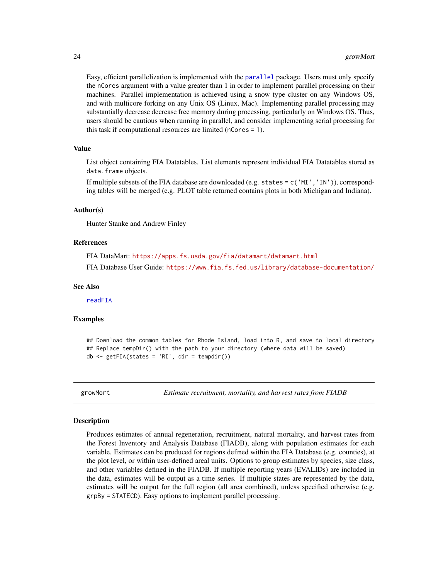Easy, efficient parallelization is implemented with the [parallel](#page-0-0) package. Users must only specify the nCores argument with a value greater than 1 in order to implement parallel processing on their machines. Parallel implementation is achieved using a snow type cluster on any Windows OS, and with multicore forking on any Unix OS (Linux, Mac). Implementing parallel processing may substantially decrease decrease free memory during processing, particularly on Windows OS. Thus, users should be cautious when running in parallel, and consider implementing serial processing for this task if computational resources are limited (nCores = 1).

#### Value

List object containing FIA Datatables. List elements represent individual FIA Datatables stored as data.frame objects.

If multiple subsets of the FIA database are downloaded (e.g. states = c('MI','IN')), corresponding tables will be merged (e.g. PLOT table returned contains plots in both Michigan and Indiana).

#### Author(s)

Hunter Stanke and Andrew Finley

#### References

FIA DataMart: <https://apps.fs.usda.gov/fia/datamart/datamart.html> FIA Database User Guide: <https://www.fia.fs.fed.us/library/database-documentation/>

#### See Also

[readFIA](#page-35-1)

#### Examples

## Download the common tables for Rhode Island, load into R, and save to local directory ## Replace tempDir() with the path to your directory (where data will be saved)  $db \leftarrow getFIA(states = 'RI', dir = tempdir())$ 

<span id="page-23-1"></span>growMort *Estimate recruitment, mortality, and harvest rates from FIADB*

#### Description

Produces estimates of annual regeneration, recruitment, natural mortality, and harvest rates from the Forest Inventory and Analysis Database (FIADB), along with population estimates for each variable. Estimates can be produced for regions defined within the FIA Database (e.g. counties), at the plot level, or within user-defined areal units. Options to group estimates by species, size class, and other variables defined in the FIADB. If multiple reporting years (EVALIDs) are included in the data, estimates will be output as a time series. If multiple states are represented by the data, estimates will be output for the full region (all area combined), unless specified otherwise (e.g. grpBy = STATECD). Easy options to implement parallel processing.

<span id="page-23-0"></span>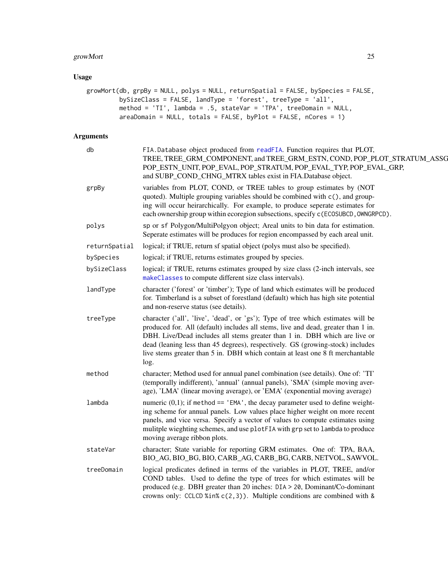# <span id="page-24-0"></span>growMort 25

# Usage

```
growMort(db, grpBy = NULL, polys = NULL, returnSpatial = FALSE, bySpecies = FALSE,
         bySizeClass = FALSE, landType = 'forest', treeType = 'all',
        method = 'TI', lambda = .5, stateVar = 'TPA', treeDomain = NULL,
         areaDomain = NULL, totals = FALSE, byPlot = FALSE, nCores = 1)
```

| db            | FIA.Database object produced from readFIA. Function requires that PLOT,<br>TREE, TREE_GRM_COMPONENT, and TREE_GRM_ESTN, COND, POP_PLOT_STRATUM_ASSG<br>POP_ESTN_UNIT, POP_EVAL, POP_STRATUM, POP_EVAL_TYP, POP_EVAL_GRP,<br>and SUBP_COND_CHNG_MTRX tables exist in FIA.Database object.                                                                                                                                        |
|---------------|---------------------------------------------------------------------------------------------------------------------------------------------------------------------------------------------------------------------------------------------------------------------------------------------------------------------------------------------------------------------------------------------------------------------------------|
| grpBy         | variables from PLOT, COND, or TREE tables to group estimates by (NOT<br>quoted). Multiple grouping variables should be combined with c(), and group-<br>ing will occur heirarchically. For example, to produce seperate estimates for<br>each ownership group within ecoregion subsections, specify c (ECOSUBCD, OWNGRPCD).                                                                                                     |
| polys         | sp or sf Polygon/MultiPolgyon object; Areal units to bin data for estimation.<br>Seperate estimates will be produces for region encompassed by each areal unit.                                                                                                                                                                                                                                                                 |
| returnSpatial | logical; if TRUE, return sf spatial object (polys must also be specified).                                                                                                                                                                                                                                                                                                                                                      |
| bySpecies     | logical; if TRUE, returns estimates grouped by species.                                                                                                                                                                                                                                                                                                                                                                         |
| bySizeClass   | logical; if TRUE, returns estimates grouped by size class (2-inch intervals, see<br>makeClasses to compute different size class intervals).                                                                                                                                                                                                                                                                                     |
| landType      | character ('forest' or 'timber'); Type of land which estimates will be produced<br>for. Timberland is a subset of forestland (default) which has high site potential<br>and non-reserve status (see details).                                                                                                                                                                                                                   |
| treeType      | character ('all', 'live', 'dead', or 'gs'); Type of tree which estimates will be<br>produced for. All (default) includes all stems, live and dead, greater than 1 in.<br>DBH. Live/Dead includes all stems greater than 1 in. DBH which are live or<br>dead (leaning less than 45 degrees), respectively. GS (growing-stock) includes<br>live stems greater than 5 in. DBH which contain at least one 8 ft merchantable<br>log. |
| method        | character; Method used for annual panel combination (see details). One of: 'TI'<br>(temporally indifferent), 'annual' (annual panels), 'SMA' (simple moving aver-<br>age), 'LMA' (linear moving average), or 'EMA' (exponential moving average)                                                                                                                                                                                 |
| lambda        | numeric $(0,1)$ ; if method == 'EMA', the decay parameter used to define weight-<br>ing scheme for annual panels. Low values place higher weight on more recent<br>panels, and vice versa. Specify a vector of values to compute estimates using<br>mulitple wieghting schemes, and use plotFIA with grp set to lambda to produce<br>moving average ribbon plots.                                                               |
| stateVar      | character; State variable for reporting GRM estimates. One of: TPA, BAA,<br>BIO_AG, BIO_BG, BIO, CARB_AG, CARB_BG, CARB, NETVOL, SAWVOL.                                                                                                                                                                                                                                                                                        |
| treeDomain    | logical predicates defined in terms of the variables in PLOT, TREE, and/or<br>COND tables. Used to define the type of trees for which estimates will be<br>produced (e.g. DBH greater than 20 inches: DIA > 20, Dominant/Co-dominant<br>crowns only: CCLCD %in% $c(2,3)$ ). Multiple conditions are combined with &                                                                                                             |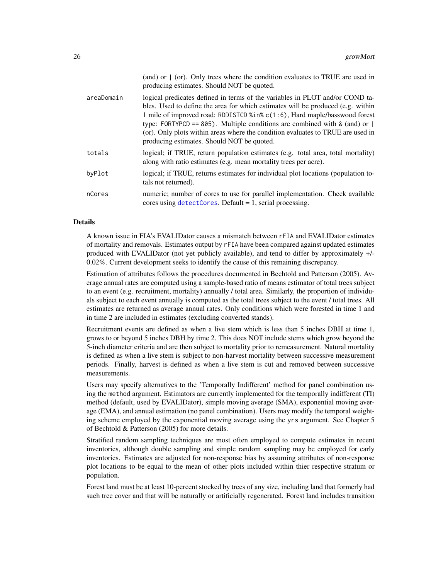<span id="page-25-0"></span>

|            | (and) or $\mid$ (or). Only trees where the condition evaluates to TRUE are used in<br>producing estimates. Should NOT be quoted.                                                                                                                                                                                                                                                                                                                              |
|------------|---------------------------------------------------------------------------------------------------------------------------------------------------------------------------------------------------------------------------------------------------------------------------------------------------------------------------------------------------------------------------------------------------------------------------------------------------------------|
| areaDomain | logical predicates defined in terms of the variables in PLOT and/or COND ta-<br>bles. Used to define the area for which estimates will be produced (e.g. within<br>1 mile of improved road: RDDISTCD %in% c(1:6), Hard maple/basswood forest<br>type: FORTYPCD == 805). Multiple conditions are combined with & (and) or $ $<br>(or). Only plots within areas where the condition evaluates to TRUE are used in<br>producing estimates. Should NOT be quoted. |
| totals     | logical; if TRUE, return population estimates (e.g. total area, total mortality)<br>along with ratio estimates (e.g. mean mortality trees per acre).                                                                                                                                                                                                                                                                                                          |
| byPlot     | logical; if TRUE, returns estimates for individual plot locations (population to-<br>tals not returned).                                                                                                                                                                                                                                                                                                                                                      |
| nCores     | numeric; number of cores to use for parallel implementation. Check available<br>cores using $detectCores$ . Default = 1, serial processing.                                                                                                                                                                                                                                                                                                                   |

#### Details

A known issue in FIA's EVALIDator causes a mismatch between rFIA and EVALIDator estimates of mortality and removals. Estimates output by rFIA have been compared against updated estimates produced with EVALIDator (not yet publicly available), and tend to differ by approximately +/- 0.02%. Current development seeks to identify the cause of this remaining discrepancy.

Estimation of attributes follows the procedures documented in Bechtold and Patterson (2005). Average annual rates are computed using a sample-based ratio of means estimator of total trees subject to an event (e.g. recruitment, mortality) annually / total area. Similarly, the proportion of individuals subject to each event annually is computed as the total trees subject to the event / total trees. All estimates are returned as average annual rates. Only conditions which were forested in time 1 and in time 2 are included in estimates (excluding converted stands).

Recruitment events are defined as when a live stem which is less than 5 inches DBH at time 1, grows to or beyond 5 inches DBH by time 2. This does NOT include stems which grow beyond the 5-inch diameter criteria and are then subject to mortality prior to remeasurement. Natural mortality is defined as when a live stem is subject to non-harvest mortality between successive measurement periods. Finally, harvest is defined as when a live stem is cut and removed between successive measurements.

Users may specify alternatives to the 'Temporally Indifferent' method for panel combination using the method argument. Estimators are currently implemented for the temporally indifferent (TI) method (default, used by EVALIDator), simple moving average (SMA), exponential moving average (EMA), and annual estimation (no panel combination). Users may modify the temporal weighting scheme employed by the exponential moving average using the yrs argument. See Chapter 5 of Bechtold & Patterson (2005) for more details.

Stratified random sampling techniques are most often employed to compute estimates in recent inventories, although double sampling and simple random sampling may be employed for early inventories. Estimates are adjusted for non-response bias by assuming attributes of non-response plot locations to be equal to the mean of other plots included within thier respective stratum or population.

Forest land must be at least 10-percent stocked by trees of any size, including land that formerly had such tree cover and that will be naturally or artificially regenerated. Forest land includes transition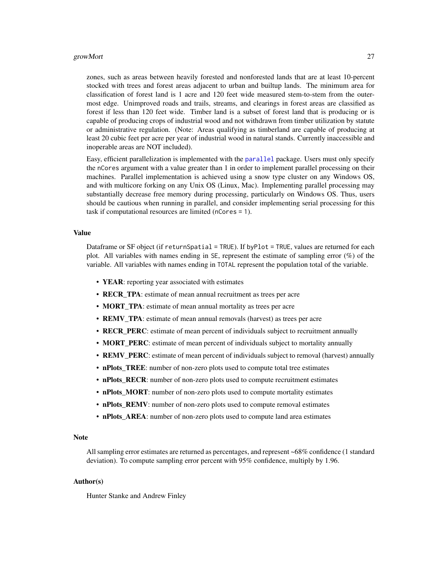#### <span id="page-26-0"></span>growMort 27

zones, such as areas between heavily forested and nonforested lands that are at least 10-percent stocked with trees and forest areas adjacent to urban and builtup lands. The minimum area for classification of forest land is 1 acre and 120 feet wide measured stem-to-stem from the outermost edge. Unimproved roads and trails, streams, and clearings in forest areas are classified as forest if less than 120 feet wide. Timber land is a subset of forest land that is producing or is capable of producing crops of industrial wood and not withdrawn from timber utilization by statute or administrative regulation. (Note: Areas qualifying as timberland are capable of producing at least 20 cubic feet per acre per year of industrial wood in natural stands. Currently inaccessible and inoperable areas are NOT included).

Easy, efficient parallelization is implemented with the [parallel](#page-0-0) package. Users must only specify the nCores argument with a value greater than 1 in order to implement parallel processing on their machines. Parallel implementation is achieved using a snow type cluster on any Windows OS, and with multicore forking on any Unix OS (Linux, Mac). Implementing parallel processing may substantially decrease free memory during processing, particularly on Windows OS. Thus, users should be cautious when running in parallel, and consider implementing serial processing for this task if computational resources are limited (nCores = 1).

#### Value

Dataframe or SF object (if returnSpatial = TRUE). If byPlot = TRUE, values are returned for each plot. All variables with names ending in SE, represent the estimate of sampling error (%) of the variable. All variables with names ending in TOTAL represent the population total of the variable.

- YEAR: reporting year associated with estimates
- RECR\_TPA: estimate of mean annual recruitment as trees per acre
- **MORT\_TPA**: estimate of mean annual mortality as trees per acre
- REMV\_TPA: estimate of mean annual removals (harvest) as trees per acre
- RECR PERC: estimate of mean percent of individuals subject to recruitment annually
- MORT PERC: estimate of mean percent of individuals subject to mortality annually
- REMV PERC: estimate of mean percent of individuals subject to removal (harvest) annually
- nPlots TREE: number of non-zero plots used to compute total tree estimates
- nPlots RECR: number of non-zero plots used to compute recruitment estimates
- nPlots MORT: number of non-zero plots used to compute mortality estimates
- nPlots\_REMV: number of non-zero plots used to compute removal estimates
- nPlots\_AREA: number of non-zero plots used to compute land area estimates

#### **Note**

All sampling error estimates are returned as percentages, and represent ~68% confidence (1 standard deviation). To compute sampling error percent with 95% confidence, multiply by 1.96.

#### Author(s)

Hunter Stanke and Andrew Finley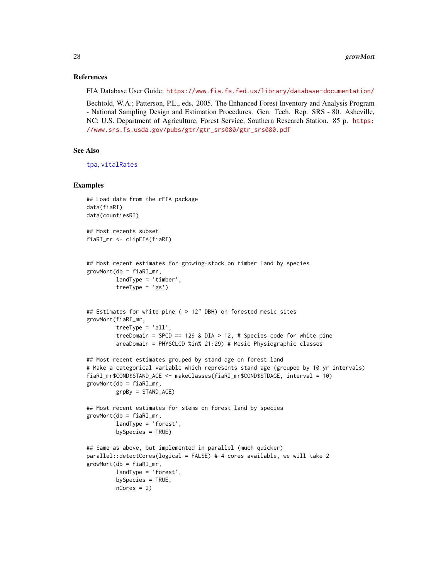#### References

FIA Database User Guide: <https://www.fia.fs.fed.us/library/database-documentation/>

Bechtold, W.A.; Patterson, P.L., eds. 2005. The Enhanced Forest Inventory and Analysis Program - National Sampling Design and Estimation Procedures. Gen. Tech. Rep. SRS - 80. Asheville, NC: U.S. Department of Agriculture, Forest Service, Southern Research Station. 85 p. [https:](https://www.srs.fs.usda.gov/pubs/gtr/gtr_srs080/gtr_srs080.pdf) [//www.srs.fs.usda.gov/pubs/gtr/gtr\\_srs080/gtr\\_srs080.pdf](https://www.srs.fs.usda.gov/pubs/gtr/gtr_srs080/gtr_srs080.pdf)

#### See Also

```
tpa, vitalRates
```
# Examples

```
## Load data from the rFIA package
data(fiaRI)
data(countiesRI)
## Most recents subset
fiaRI_mr <- clipFIA(fiaRI)
## Most recent estimates for growing-stock on timber land by species
growMort(db = fiaRI_mr,
        landType = 'timber',
        treeType = 'gs')
## Estimates for white pine ( > 12" DBH) on forested mesic sites
growMort(fiaRI_mr,
         treeType = 'all',
         treeDomain = SPCD == 129 & DIA > 12, # Species code for white pine
         areaDomain = PHYSCLCD %in% 21:29) # Mesic Physiographic classes
## Most recent estimates grouped by stand age on forest land
# Make a categorical variable which represents stand age (grouped by 10 yr intervals)
fiaRI_mr$COND$STAND_AGE <- makeClasses(fiaRI_mr$COND$STDAGE, interval = 10)
growth = fiRI_mr,
        grpBy = STAND_AGE)
## Most recent estimates for stems on forest land by species
growMort(db = fiaRI_mr,
        landType = 'forest',
        bySpecies = TRUE)
## Same as above, but implemented in parallel (much quicker)
parallel::detectCores(logical = FALSE) # 4 cores available, we will take 2
growMort(db = fiaRI_mr,
        landType = 'forest',
        bySpecies = TRUE,
        nCores = 2)
```
<span id="page-27-0"></span>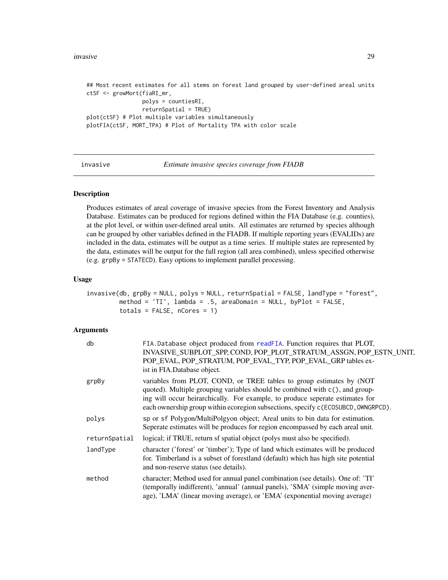#### <span id="page-28-0"></span>invasive 29

## Most recent estimates for all stems on forest land grouped by user-defined areal units ctSF <- growMort(fiaRI\_mr, polys = countiesRI, returnSpatial = TRUE) plot(ctSF) # Plot multiple variables simultaneously plotFIA(ctSF, MORT\_TPA) # Plot of Mortality TPA with color scale

<span id="page-28-1"></span>invasive *Estimate invasive species coverage from FIADB*

# Description

Produces estimates of areal coverage of invasive species from the Forest Inventory and Analysis Database. Estimates can be produced for regions defined within the FIA Database (e.g. counties), at the plot level, or within user-defined areal units. All estimates are returned by species although can be grouped by other variables defined in the FIADB. If multiple reporting years (EVALIDs) are included in the data, estimates will be output as a time series. If multiple states are represented by the data, estimates will be output for the full region (all area combined), unless specified otherwise (e.g. grpBy = STATECD). Easy options to implement parallel processing.

#### Usage

```
invasive(db, grpBy = NULL, polys = NULL, returnSpatial = FALSE, landType = "forest",
        method = 'TI', lambda = .5, areaDomain = NULL, byPlot = FALSE,
        totals = FALSE, nCores = 1)
```

| db            | FIA.Database object produced from readFIA. Function requires that PLOT,<br>INVASIVE SUBPLOT SPP, COND, POP PLOT STRATUM ASSGN, POP ESTN UNIT,<br>POP_EVAL, POP_STRATUM, POP_EVAL_TYP, POP_EVAL_GRP tables ex-<br>ist in FIA.Database object.                                                                                |
|---------------|-----------------------------------------------------------------------------------------------------------------------------------------------------------------------------------------------------------------------------------------------------------------------------------------------------------------------------|
| grpBy         | variables from PLOT, COND, or TREE tables to group estimates by (NOT<br>quoted). Multiple grouping variables should be combined with c(), and group-<br>ing will occur heirarchically. For example, to produce seperate estimates for<br>each ownership group within ecoregion subsections, specify c (ECOSUBCD, OWNGRPCD). |
| polys         | sp or sf Polygon/MultiPolgyon object; Areal units to bin data for estimation.<br>Seperate estimates will be produces for region encompassed by each areal unit.                                                                                                                                                             |
| returnSpatial | logical; if TRUE, return sf spatial object (polys must also be specified).                                                                                                                                                                                                                                                  |
| landType      | character ('forest' or 'timber'); Type of land which estimates will be produced<br>for. Timberland is a subset of forestland (default) which has high site potential<br>and non-reserve status (see details).                                                                                                               |
| method        | character; Method used for annual panel combination (see details). One of: 'TI'<br>(temporally indifferent), 'annual' (annual panels), 'SMA' (simple moving aver-<br>age), 'LMA' (linear moving average), or 'EMA' (exponential moving average)                                                                             |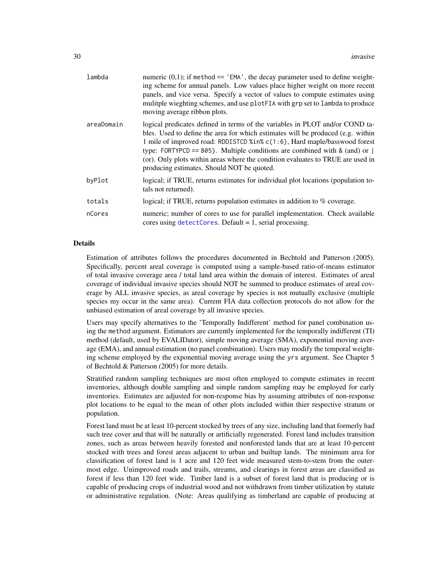<span id="page-29-0"></span>

| lambda     | numeric $(0,1)$ ; if method == 'EMA', the decay parameter used to define weight-<br>ing scheme for annual panels. Low values place higher weight on more recent<br>panels, and vice versa. Specify a vector of values to compute estimates using<br>mulitple wieghting schemes, and use plotFIA with grp set to lambda to produce<br>moving average ribbon plots.                                                                                             |
|------------|---------------------------------------------------------------------------------------------------------------------------------------------------------------------------------------------------------------------------------------------------------------------------------------------------------------------------------------------------------------------------------------------------------------------------------------------------------------|
| areaDomain | logical predicates defined in terms of the variables in PLOT and/or COND ta-<br>bles. Used to define the area for which estimates will be produced (e.g. within<br>1 mile of improved road: RDDISTCD %in% c(1:6), Hard maple/basswood forest<br>type: FORTYPCD == 805). Multiple conditions are combined with & (and) or $ $<br>(or). Only plots within areas where the condition evaluates to TRUE are used in<br>producing estimates. Should NOT be quoted. |
| byPlot     | logical; if TRUE, returns estimates for individual plot locations (population to-<br>tals not returned).                                                                                                                                                                                                                                                                                                                                                      |
| totals     | logical; if TRUE, returns population estimates in addition to % coverage.                                                                                                                                                                                                                                                                                                                                                                                     |
| nCores     | numeric; number of cores to use for parallel implementation. Check available<br>cores using $detectCores$ . Default = 1, serial processing.                                                                                                                                                                                                                                                                                                                   |

#### Details

Estimation of attributes follows the procedures documented in Bechtold and Patterson (2005). Specifically, percent areal coverage is computed using a sample-based ratio-of-means estimator of total invasive coverage area / total land area within the domain of interest. Estimates of areal coverage of individual invasive species should NOT be summed to produce estimates of areal coverage by ALL invasive species, as areal coverage by species is not mutually exclusive (multiple species my occur in the same area). Current FIA data collection protocols do not allow for the unbiased estimation of areal coverage by all invasive species.

Users may specify alternatives to the 'Temporally Indifferent' method for panel combination using the method argument. Estimators are currently implemented for the temporally indifferent (TI) method (default, used by EVALIDator), simple moving average (SMA), exponential moving average (EMA), and annual estimation (no panel combination). Users may modify the temporal weighting scheme employed by the exponential moving average using the yrs argument. See Chapter 5 of Bechtold & Patterson (2005) for more details.

Stratified random sampling techniques are most often employed to compute estimates in recent inventories, although double sampling and simple random sampling may be employed for early inventories. Estimates are adjusted for non-response bias by assuming attributes of non-response plot locations to be equal to the mean of other plots included within thier respective stratum or population.

Forest land must be at least 10-percent stocked by trees of any size, including land that formerly had such tree cover and that will be naturally or artificially regenerated. Forest land includes transition zones, such as areas between heavily forested and nonforested lands that are at least 10-percent stocked with trees and forest areas adjacent to urban and builtup lands. The minimum area for classification of forest land is 1 acre and 120 feet wide measured stem-to-stem from the outermost edge. Unimproved roads and trails, streams, and clearings in forest areas are classified as forest if less than 120 feet wide. Timber land is a subset of forest land that is producing or is capable of producing crops of industrial wood and not withdrawn from timber utilization by statute or administrative regulation. (Note: Areas qualifying as timberland are capable of producing at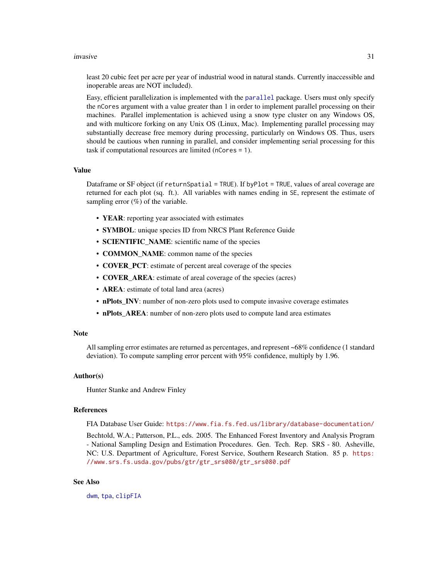#### <span id="page-30-0"></span>invasive 31

least 20 cubic feet per acre per year of industrial wood in natural stands. Currently inaccessible and inoperable areas are NOT included).

Easy, efficient parallelization is implemented with the [parallel](#page-0-0) package. Users must only specify the nCores argument with a value greater than 1 in order to implement parallel processing on their machines. Parallel implementation is achieved using a snow type cluster on any Windows OS, and with multicore forking on any Unix OS (Linux, Mac). Implementing parallel processing may substantially decrease free memory during processing, particularly on Windows OS. Thus, users should be cautious when running in parallel, and consider implementing serial processing for this task if computational resources are limited (nCores = 1).

#### Value

Dataframe or SF object (if returnSpatial = TRUE). If byPlot = TRUE, values of areal coverage are returned for each plot (sq. ft.). All variables with names ending in SE, represent the estimate of sampling error  $(\%)$  of the variable.

- YEAR: reporting year associated with estimates
- SYMBOL: unique species ID from NRCS Plant Reference Guide
- **SCIENTIFIC\_NAME**: scientific name of the species
- **COMMON\_NAME**: common name of the species
- COVER\_PCT: estimate of percent areal coverage of the species
- COVER\_AREA: estimate of areal coverage of the species (acres)
- AREA: estimate of total land area (acres)
- nPlots INV: number of non-zero plots used to compute invasive coverage estimates
- nPlots\_AREA: number of non-zero plots used to compute land area estimates

#### **Note**

All sampling error estimates are returned as percentages, and represent ~68% confidence (1 standard deviation). To compute sampling error percent with 95% confidence, multiply by 1.96.

#### Author(s)

Hunter Stanke and Andrew Finley

# References

FIA Database User Guide: <https://www.fia.fs.fed.us/library/database-documentation/>

Bechtold, W.A.; Patterson, P.L., eds. 2005. The Enhanced Forest Inventory and Analysis Program - National Sampling Design and Estimation Procedures. Gen. Tech. Rep. SRS - 80. Asheville, NC: U.S. Department of Agriculture, Forest Service, Southern Research Station. 85 p. [https:](https://www.srs.fs.usda.gov/pubs/gtr/gtr_srs080/gtr_srs080.pdf) [//www.srs.fs.usda.gov/pubs/gtr/gtr\\_srs080/gtr\\_srs080.pdf](https://www.srs.fs.usda.gov/pubs/gtr/gtr_srs080/gtr_srs080.pdf)

# See Also

[dwm](#page-16-1), [tpa](#page-45-1), [clipFIA](#page-9-1)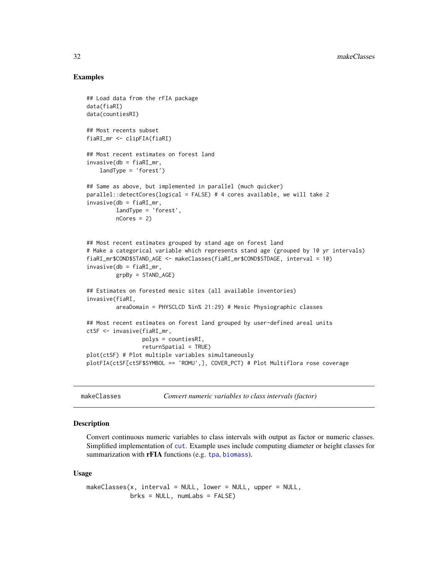# Examples

```
## Load data from the rFIA package
data(fiaRI)
data(countiesRI)
## Most recents subset
fiaRI_mr <- clipFIA(fiaRI)
## Most recent estimates on forest land
invasive(db = fiaRI_mr,landType = 'forest')
## Same as above, but implemented in parallel (much quicker)
parallel::detectCores(logical = FALSE) # 4 cores available, we will take 2
invasive(db = fiaRI_mr,
         landType = 'forest',
         nCores = 2)
## Most recent estimates grouped by stand age on forest land
# Make a categorical variable which represents stand age (grouped by 10 yr intervals)
fiaRI_mr$COND$STAND_AGE <- makeClasses(fiaRI_mr$COND$STDAGE, interval = 10)
invasive(db = fiaRI_mr,
         grpBy = STAND_AGE)
## Estimates on forested mesic sites (all available inventories)
invasive(fiaRI,
         areaDomain = PHYSCLCD %in% 21:29) # Mesic Physiographic classes
## Most recent estimates on forest land grouped by user-defined areal units
ctSF <- invasive(fiaRI_mr,
                 polys = countiesRI,
                 returnSpatial = TRUE)
plot(ctSF) # Plot multiple variables simultaneously
plotFIA(ctSF[ctSF$SYMBOL == 'ROMU',], COVER_PCT) # Plot Multiflora rose coverage
```
<span id="page-31-1"></span>

| makeClasses | Convert numeric variables to class intervals (factor) |  |
|-------------|-------------------------------------------------------|--|
|-------------|-------------------------------------------------------|--|

#### Description

Convert continuous numeric variables to class intervals with output as factor or numeric classes. Simplified implementation of [cut](#page-0-0). Example uses include computing diameter or height classes for summarization with **rFIA** functions (e.g. [tpa](#page-45-1), [biomass](#page-5-1)).

#### Usage

```
makeClasses(x, interval = NULL, lower = NULL, upper = NULL,
            brks = NULL, num Labs = FALSE)
```
<span id="page-31-0"></span>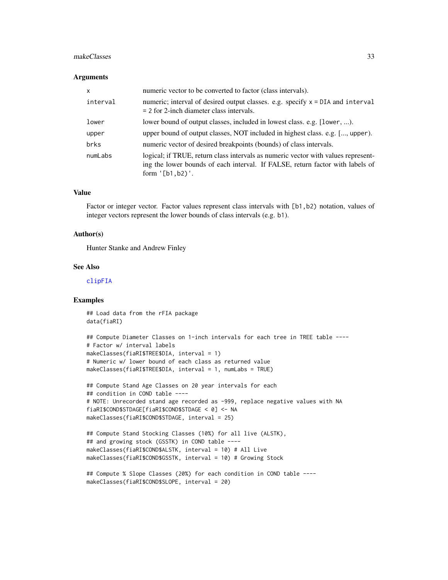#### <span id="page-32-0"></span>makeClasses 33

#### Arguments

| $\mathsf{x}$ | numeric vector to be converted to factor (class intervals).                                                                                                                               |
|--------------|-------------------------------------------------------------------------------------------------------------------------------------------------------------------------------------------|
| interval     | numeric; interval of desired output classes. e.g. specify x = DIA and interval<br>$= 2$ for 2-inch diameter class intervals.                                                              |
| lower        | lower bound of output classes, included in lowest class. e.g. [lower, ).                                                                                                                  |
| upper        | upper bound of output classes, NOT included in highest class. e.g. [, upper).                                                                                                             |
| brks         | numeric vector of desired breakpoints (bounds) of class intervals.                                                                                                                        |
| numLabs      | logical; if TRUE, return class intervals as numeric vector with values represent-<br>ing the lower bounds of each interval. If FALSE, return factor with labels of<br>form $'[b1, b2]'$ . |

# Value

Factor or integer vector. Factor values represent class intervals with [b1,b2) notation, values of integer vectors represent the lower bounds of class intervals (e.g. b1).

#### Author(s)

Hunter Stanke and Andrew Finley

#### See Also

[clipFIA](#page-9-1)

#### Examples

## Load data from the rFIA package data(fiaRI)

```
## Compute Diameter Classes on 1-inch intervals for each tree in TREE table ----
# Factor w/ interval labels
makeClasses(fiaRI$TREE$DIA, interval = 1)
# Numeric w/ lower bound of each class as returned value
makeClasses(fiaRI$TREE$DIA, interval = 1, numLabs = TRUE)
```

```
## Compute Stand Age Classes on 20 year intervals for each
## condition in COND table ----
# NOTE: Unrecorded stand age recorded as -999, replace negative values with NA
fiaRI$COND$STDAGE[fiaRI$COND$STDAGE < 0] <- NA
makeClasses(fiaRI$COND$STDAGE, interval = 25)
```

```
## Compute Stand Stocking Classes (10%) for all live (ALSTK),
## and growing stock (GSSTK) in COND table ----
makeClasses(fiaRI$COND$ALSTK, interval = 10) # All Live
makeClasses(fiaRI$COND$GSSTK, interval = 10) # Growing Stock
```

```
## Compute % Slope Classes (20%) for each condition in COND table ----
makeClasses(fiaRI$COND$SLOPE, interval = 20)
```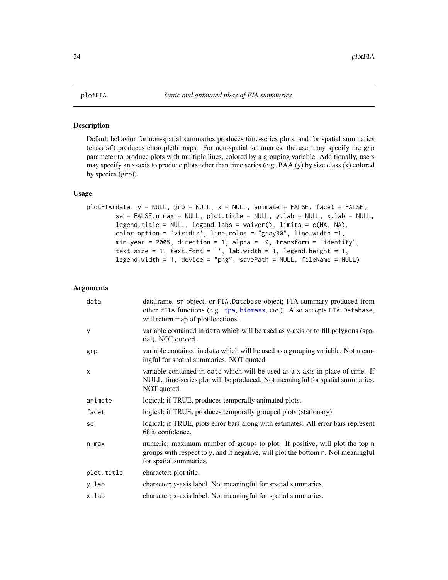<span id="page-33-0"></span>

#### Description

Default behavior for non-spatial summaries produces time-series plots, and for spatial summaries (class sf) produces choropleth maps. For non-spatial summaries, the user may specify the grp parameter to produce plots with multiple lines, colored by a grouping variable. Additionally, users may specify an x-axis to produce plots other than time series (e.g. BAA (y) by size class (x) colored by species (grp)).

# Usage

```
plotFIA(data, y = NULL, grp = NULL, x = NULL, animate = FALSE, facet = FALSE,
        se = FALEE, n.max = NULL, plot.title = NULL, y.lab = NULL, x.lab = NULL,legend.title = NULL, legend.labs = waiver(), limits = c(NA, NA),
        color.option = 'viridis', line.color = "gray30", line.width =1,
        min.year = 2005, direction = 1, alpha = .9, transform = "identity",
        text.size = 1, text.font = '', lab.width = 1, legend.height = 1,
        legend.width = 1, device = "png", savePath = NULL, fileName = NULL)
```

| data         | dataframe, sf object, or FIA.Database object; FIA summary produced from<br>other rFIA functions (e.g. tpa, biomass, etc.). Also accepts FIA.Database,<br>will return map of plot locations. |
|--------------|---------------------------------------------------------------------------------------------------------------------------------------------------------------------------------------------|
| У            | variable contained in data which will be used as y-axis or to fill polygons (spa-<br>tial). NOT quoted.                                                                                     |
| grp          | variable contained in data which will be used as a grouping variable. Not mean-<br>ingful for spatial summaries. NOT quoted.                                                                |
| $\mathsf{x}$ | variable contained in data which will be used as a x-axis in place of time. If<br>NULL, time-series plot will be produced. Not meaningful for spatial summaries.<br>NOT quoted.             |
| animate      | logical; if TRUE, produces temporally animated plots.                                                                                                                                       |
| facet        | logical; if TRUE, produces temporally grouped plots (stationary).                                                                                                                           |
| se           | logical; if TRUE, plots error bars along with estimates. All error bars represent<br>68% confidence.                                                                                        |
| n.max        | numeric; maximum number of groups to plot. If positive, will plot the top n<br>groups with respect to y, and if negative, will plot the bottom n. Not meaningful<br>for spatial summaries.  |
| plot.title   | character; plot title.                                                                                                                                                                      |
| y.lab        | character; y-axis label. Not meaningful for spatial summaries.                                                                                                                              |
| x.lab        | character; x-axis label. Not meaningful for spatial summaries.                                                                                                                              |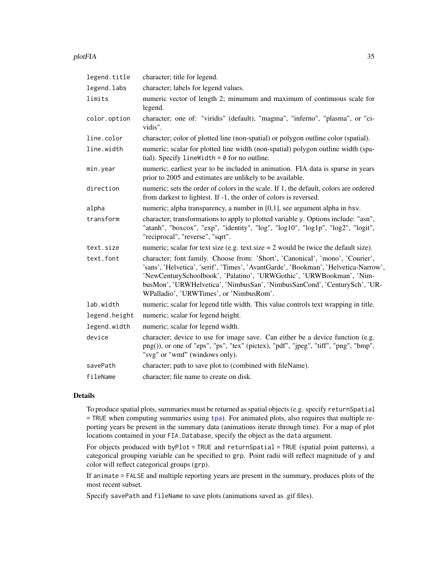#### <span id="page-34-0"></span>plotFIA 35

| legend.title  | character; title for legend.                                                                                                                                                                                                                                                                                                                                         |
|---------------|----------------------------------------------------------------------------------------------------------------------------------------------------------------------------------------------------------------------------------------------------------------------------------------------------------------------------------------------------------------------|
| legend.labs   | character; labels for legend values.                                                                                                                                                                                                                                                                                                                                 |
| limits        | numeric vector of length 2; minumum and maximum of continuous scale for<br>legend.                                                                                                                                                                                                                                                                                   |
| color.option  | character; one of: "viridis" (default), "magma", "inferno", "plasma", or "ci-<br>vidis".                                                                                                                                                                                                                                                                             |
| line.color    | character; color of plotted line (non-spatial) or polygon outline color (spatial).                                                                                                                                                                                                                                                                                   |
| line.width    | numeric; scalar for plotted line width (non-spatial) polygon outline width (spa-<br>tial). Specify lineWidth = $\theta$ for no outline.                                                                                                                                                                                                                              |
| min.year      | numeric; earliest year to be included in animation. FIA data is sparse in years<br>prior to 2005 and estimates are unlikely to be available.                                                                                                                                                                                                                         |
| direction     | numeric; sets the order of colors in the scale. If 1, the default, colors are ordered<br>from darkest to lightest. If -1, the order of colors is reversed.                                                                                                                                                                                                           |
| alpha         | numeric; alpha transparency, a number in [0,1], see argument alpha in hsv.                                                                                                                                                                                                                                                                                           |
| transform     | character; transformations to apply to plotted variable y. Options include: "asn",<br>"atanh", "boxcox", "exp", "identity", "log", "log10", "log1p", "log2", "logit",<br>"reciprocal", "reverse", "sqrt".                                                                                                                                                            |
| text.size     | numeric; scalar for text size (e.g. text size $= 2$ would be twice the default size).                                                                                                                                                                                                                                                                                |
| text.font     | character; font family. Choose from: 'Short', 'Canonical', 'mono', 'Courier',<br>'sans', 'Helvetica', 'serif', 'Times', 'AvantGarde', 'Bookman', 'Helvetica-Narrow',<br>'NewCenturySchoolbook', 'Palatino', 'URWGothic', 'URWBookman', 'Nim-<br>busMon', 'URWHelvetica', 'NimbusSan', 'NimbusSanCond', 'CenturySch', 'UR-<br>WPalladio', 'URWTimes', or 'NimbusRom'. |
| lab.width     | numeric; scalar for legend title width. This value controls text wrapping in title.                                                                                                                                                                                                                                                                                  |
| legend.height | numeric; scalar for legend height.                                                                                                                                                                                                                                                                                                                                   |
| legend.width  | numeric; scalar for legend width.                                                                                                                                                                                                                                                                                                                                    |
| device        | character; device to use for image save. Can either be a device function (e.g.<br>png()), or one of "eps", "ps", "tex" (pictex), "pdf", "jpeg", "tiff", "png", "bmp",<br>"svg" or "wmf" (windows only).                                                                                                                                                              |
| savePath      | character; path to save plot to (combined with fileName).                                                                                                                                                                                                                                                                                                            |
| fileName      | character; file name to create on disk.                                                                                                                                                                                                                                                                                                                              |

# Details

To produce spatial plots, summaries must be returned as spatial objects (e.g. specify returnSpatial = TRUE when computing summaries using [tpa](#page-45-1)). For animated plots, also requires that multiple reporting years be present in the summary data (animations iterate through time). For a map of plot locations contained in your FIA.Database, specify the object as the data argument.

For objects produced with byPlot = TRUE and returnSpatial = TRUE (spatial point patterns), a categorical grouping variable can be specified to grp. Point radii will reflect magnitude of y and color will reflect categorical groups (grp).

If animate = FALSE and multiple reporting years are present in the summary, produces plots of the most recent subset.

Specify savePath and fileName to save plots (animations saved as .gif files).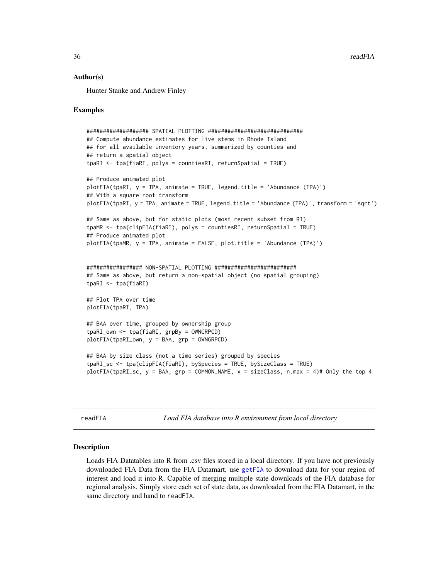36 readFIA

#### Author(s)

Hunter Stanke and Andrew Finley

#### Examples

```
################### SPATIAL PLOTTING #############################
## Compute abundance estimates for live stems in Rhode Island
## for all available inventory years, summarized by counties and
## return a spatial object
tpaRI <- tpa(fiaRI, polys = countiesRI, returnSpatial = TRUE)
## Produce animated plot
plotFIA(tpaRI, y = TPA, animate = TRUE, legend.title = 'Abundance (TPA)')
## With a square root transform
plotFIA(tpaRI, y = TPA, animate = TRUE, legend.title = 'Abundance (TPA)', transform = 'sqrt')
## Same as above, but for static plots (most recent subset from RI)
tpaMR <- tpa(clipFIA(fiaRI), polys = countiesRI, returnSpatial = TRUE)
## Produce animated plot
plotFIA(tpaMR, y = TPA, animate = FALSE, plot.title = 'Abundance (TPA)')
################# NON-SPATIAL PLOTTING #########################
## Same as above, but return a non-spatial object (no spatial grouping)
tpaRI <- tpa(fiaRI)
## Plot TPA over time
plotFIA(tpaRI, TPA)
## BAA over time, grouped by ownership group
tpaRI_own <- tpa(fiaRI, grpBy = OWNGRPCD)
plotFIA(tpaRI_own, y = BAA, grp = OWNGRPCD)
## BAA by size class (not a time series) grouped by species
tpaRI_sc <- tpa(clipFIA(fiaRI), bySpecies = TRUE, bySizeClass = TRUE)
plotFIA(tpaRI_sc, y = BA, grp = COMMON_NAME, x = sizeClass, n.max = 4)# Only the top 4
```
<span id="page-35-1"></span>readFIA *Load FIA database into R environment from local directory*

#### Description

Loads FIA Datatables into R from .csv files stored in a local directory. If you have not previously downloaded FIA Data from the FIA Datamart, use [getFIA](#page-22-1) to download data for your region of interest and load it into R. Capable of merging multiple state downloads of the FIA database for regional analysis. Simply store each set of state data, as downloaded from the FIA Datamart, in the same directory and hand to readFIA.

<span id="page-35-0"></span>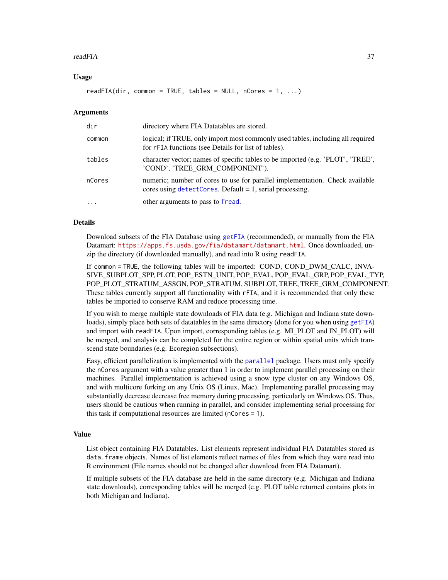#### <span id="page-36-0"></span>readFIA 37

### Usage

readFIA(dir, common = TRUE, tables = NULL, nCores = 1, ...)

#### Arguments

| dir        | directory where FIA Datatables are stored.                                                                                                           |
|------------|------------------------------------------------------------------------------------------------------------------------------------------------------|
| common     | logical; if TRUE, only import most commonly used tables, including all required<br>for rFIA functions (see Details for list of tables).              |
| tables     | character vector; names of specific tables to be imported (e.g. 'PLOT', 'TREE',<br>'COND', 'TREE GRM COMPONENT').                                    |
| nCores     | numeric; number of cores to use for parallel implementation. Check available<br>cores using $detect{\text{Cores}}$ . Default = 1, serial processing. |
| $\ddots$ . | other arguments to pass to fread.                                                                                                                    |

#### Details

Download subsets of the FIA Database using [getFIA](#page-22-1) (recommended), or manually from the FIA Datamart: <https://apps.fs.usda.gov/fia/datamart/datamart.html>. Once downloaded, unzip the directory (if downloaded manually), and read into R using readFIA.

If common = TRUE, the following tables will be imported: COND, COND\_DWM\_CALC, INVA-SIVE\_SUBPLOT\_SPP, PLOT, POP\_ESTN\_UNIT, POP\_EVAL, POP\_EVAL\_GRP, POP\_EVAL\_TYP, POP\_PLOT\_STRATUM\_ASSGN, POP\_STRATUM, SUBPLOT, TREE, TREE\_GRM\_COMPONENT. These tables currently support all functionality with rFIA, and it is recommended that only these tables be imported to conserve RAM and reduce processing time.

If you wish to merge multiple state downloads of FIA data (e.g. Michigan and Indiana state downloads), simply place both sets of datatables in the same directory (done for you when using [getFIA](#page-22-1)) and import with readFIA. Upon import, corresponding tables (e.g. MI\_PLOT and IN\_PLOT) will be merged, and analysis can be completed for the entire region or within spatial units which transcend state boundaries (e.g. Ecoregion subsections).

Easy, efficient parallelization is implemented with the [parallel](#page-0-0) package. Users must only specify the nCores argument with a value greater than 1 in order to implement parallel processing on their machines. Parallel implementation is achieved using a snow type cluster on any Windows OS, and with multicore forking on any Unix OS (Linux, Mac). Implementing parallel processing may substantially decrease decrease free memory during processing, particularly on Windows OS. Thus, users should be cautious when running in parallel, and consider implementing serial processing for this task if computational resources are limited (nCores = 1).

#### Value

List object containing FIA Datatables. List elements represent individual FIA Datatables stored as data.frame objects. Names of list elements reflect names of files from which they were read into R environment (File names should not be changed after download from FIA Datamart).

If multiple subsets of the FIA database are held in the same directory (e.g. Michigan and Indiana state downloads), corresponding tables will be merged (e.g. PLOT table returned contains plots in both Michigan and Indiana).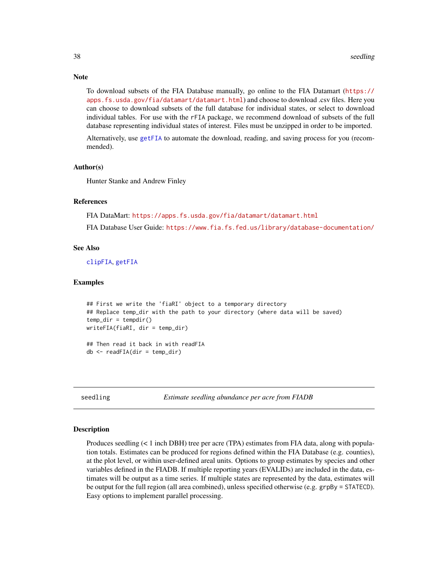To download subsets of the FIA Database manually, go online to the FIA Datamart ([https://](https://apps.fs.usda.gov/fia/datamart/datamart.html) [apps.fs.usda.gov/fia/datamart/datamart.html](https://apps.fs.usda.gov/fia/datamart/datamart.html)) and choose to download .csv files. Here you can choose to download subsets of the full database for individual states, or select to download individual tables. For use with the rFIA package, we recommend download of subsets of the full database representing individual states of interest. Files must be unzipped in order to be imported.

Alternatively, use [getFIA](#page-22-1) to automate the download, reading, and saving process for you (recommended).

#### Author(s)

Hunter Stanke and Andrew Finley

# References

FIA DataMart: <https://apps.fs.usda.gov/fia/datamart/datamart.html>

FIA Database User Guide: <https://www.fia.fs.fed.us/library/database-documentation/>

#### See Also

[clipFIA](#page-9-1), [getFIA](#page-22-1)

#### Examples

```
## First we write the 'fiaRI' object to a temporary directory
## Replace temp_dir with the path to your directory (where data will be saved)
temp\_dir = tempdir()writeFIA(fiaRI, dir = temp_dir)
## Then read it back in with readFIA
```
 $db \leftarrow \text{readFIA}(dir = temp\_dir)$ 

<span id="page-37-1"></span>seedling *Estimate seedling abundance per acre from FIADB*

#### **Description**

Produces seedling  $(< 1$  inch DBH) tree per acre (TPA) estimates from FIA data, along with population totals. Estimates can be produced for regions defined within the FIA Database (e.g. counties), at the plot level, or within user-defined areal units. Options to group estimates by species and other variables defined in the FIADB. If multiple reporting years (EVALIDs) are included in the data, estimates will be output as a time series. If multiple states are represented by the data, estimates will be output for the full region (all area combined), unless specified otherwise (e.g. grpBy = STATECD). Easy options to implement parallel processing.

<span id="page-37-0"></span>

# **Note**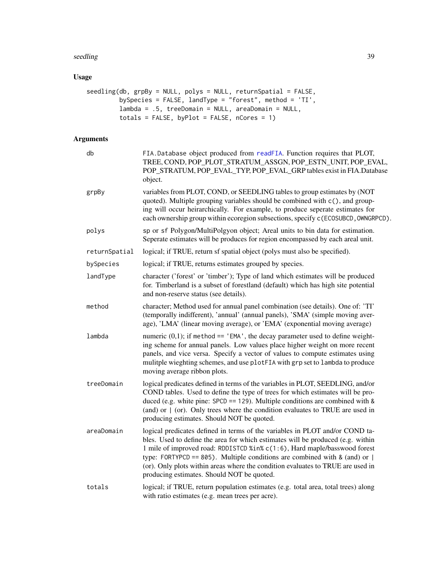#### <span id="page-38-0"></span>seedling 39

# Usage

```
seedling(db, grpBy = NULL, polys = NULL, returnSpatial = FALSE,
         bySpecies = FALSE, landType = "forest", method = 'TI',
         lambda = .5, treeDomain = NULL, areaDomain = NULL,
        totals = FALSE, byPlot = FALSE, nCores = 1)
```

| db            | FIA.Database object produced from readFIA. Function requires that PLOT,<br>TREE, COND, POP_PLOT_STRATUM_ASSGN, POP_ESTN_UNIT, POP_EVAL,<br>POP_STRATUM, POP_EVAL_TYP, POP_EVAL_GRP tables exist in FIA.Database<br>object.                                                                                                                                                                                                                                    |
|---------------|---------------------------------------------------------------------------------------------------------------------------------------------------------------------------------------------------------------------------------------------------------------------------------------------------------------------------------------------------------------------------------------------------------------------------------------------------------------|
| grpBy         | variables from PLOT, COND, or SEEDLING tables to group estimates by (NOT<br>quoted). Multiple grouping variables should be combined with c(), and group-<br>ing will occur heirarchically. For example, to produce seperate estimates for<br>each ownership group within ecoregion subsections, specify c (ECOSUBCD, OWNGRPCD).                                                                                                                               |
| polys         | sp or sf Polygon/MultiPolgyon object; Areal units to bin data for estimation.<br>Seperate estimates will be produces for region encompassed by each areal unit.                                                                                                                                                                                                                                                                                               |
| returnSpatial | logical; if TRUE, return sf spatial object (polys must also be specified).                                                                                                                                                                                                                                                                                                                                                                                    |
| bySpecies     | logical; if TRUE, returns estimates grouped by species.                                                                                                                                                                                                                                                                                                                                                                                                       |
| landType      | character ('forest' or 'timber'); Type of land which estimates will be produced<br>for. Timberland is a subset of forestland (default) which has high site potential<br>and non-reserve status (see details).                                                                                                                                                                                                                                                 |
| method        | character; Method used for annual panel combination (see details). One of: 'TI'<br>(temporally indifferent), 'annual' (annual panels), 'SMA' (simple moving aver-<br>age), 'LMA' (linear moving average), or 'EMA' (exponential moving average)                                                                                                                                                                                                               |
| lambda        | numeric $(0,1)$ ; if method == 'EMA', the decay parameter used to define weight-<br>ing scheme for annual panels. Low values place higher weight on more recent<br>panels, and vice versa. Specify a vector of values to compute estimates using<br>mulitple wieghting schemes, and use plotFIA with grp set to lambda to produce<br>moving average ribbon plots.                                                                                             |
| treeDomain    | logical predicates defined in terms of the variables in PLOT, SEEDLING, and/or<br>COND tables. Used to define the type of trees for which estimates will be pro-<br>duced (e.g. white pine: $SPCD == 129$ ). Multiple conditions are combined with &<br>(and) or $\mid$ (or). Only trees where the condition evaluates to TRUE are used in<br>producing estimates. Should NOT be quoted.                                                                      |
| areaDomain    | logical predicates defined in terms of the variables in PLOT and/or COND ta-<br>bles. Used to define the area for which estimates will be produced (e.g. within<br>1 mile of improved road: RDDISTCD %in% c(1:6), Hard maple/basswood forest<br>type: FORTYPCD == 805). Multiple conditions are combined with & (and) or $ $<br>(or). Only plots within areas where the condition evaluates to TRUE are used in<br>producing estimates. Should NOT be quoted. |
| totals        | logical; if TRUE, return population estimates (e.g. total area, total trees) along<br>with ratio estimates (e.g. mean trees per acre).                                                                                                                                                                                                                                                                                                                        |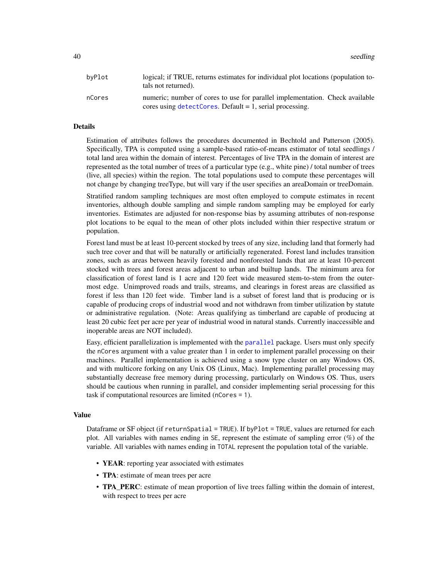<span id="page-39-0"></span>40 seedling and the set of the second second second second second second second second second second second second second second second second second second second second second second second second second second second se

| bvPlot | logical; if TRUE, returns estimates for individual plot locations (population to-<br>tals not returned).                                    |
|--------|---------------------------------------------------------------------------------------------------------------------------------------------|
| nCores | numeric; number of cores to use for parallel implementation. Check available<br>cores using $detectCores$ . Default = 1, serial processing. |

#### Details

Estimation of attributes follows the procedures documented in Bechtold and Patterson (2005). Specifically, TPA is computed using a sample-based ratio-of-means estimator of total seedlings / total land area within the domain of interest. Percentages of live TPA in the domain of interest are represented as the total number of trees of a particular type (e.g., white pine) / total number of trees (live, all species) within the region. The total populations used to compute these percentages will not change by changing treeType, but will vary if the user specifies an areaDomain or treeDomain.

Stratified random sampling techniques are most often employed to compute estimates in recent inventories, although double sampling and simple random sampling may be employed for early inventories. Estimates are adjusted for non-response bias by assuming attributes of non-response plot locations to be equal to the mean of other plots included within thier respective stratum or population.

Forest land must be at least 10-percent stocked by trees of any size, including land that formerly had such tree cover and that will be naturally or artificially regenerated. Forest land includes transition zones, such as areas between heavily forested and nonforested lands that are at least 10-percent stocked with trees and forest areas adjacent to urban and builtup lands. The minimum area for classification of forest land is 1 acre and 120 feet wide measured stem-to-stem from the outermost edge. Unimproved roads and trails, streams, and clearings in forest areas are classified as forest if less than 120 feet wide. Timber land is a subset of forest land that is producing or is capable of producing crops of industrial wood and not withdrawn from timber utilization by statute or administrative regulation. (Note: Areas qualifying as timberland are capable of producing at least 20 cubic feet per acre per year of industrial wood in natural stands. Currently inaccessible and inoperable areas are NOT included).

Easy, efficient parallelization is implemented with the [parallel](#page-0-0) package. Users must only specify the nCores argument with a value greater than 1 in order to implement parallel processing on their machines. Parallel implementation is achieved using a snow type cluster on any Windows OS, and with multicore forking on any Unix OS (Linux, Mac). Implementing parallel processing may substantially decrease free memory during processing, particularly on Windows OS. Thus, users should be cautious when running in parallel, and consider implementing serial processing for this task if computational resources are limited (nCores = 1).

#### Value

Dataframe or SF object (if returnSpatial = TRUE). If byPlot = TRUE, values are returned for each plot. All variables with names ending in SE, represent the estimate of sampling error (%) of the variable. All variables with names ending in TOTAL represent the population total of the variable.

- YEAR: reporting year associated with estimates
- TPA: estimate of mean trees per acre
- **TPA\_PERC**: estimate of mean proportion of live trees falling within the domain of interest, with respect to trees per acre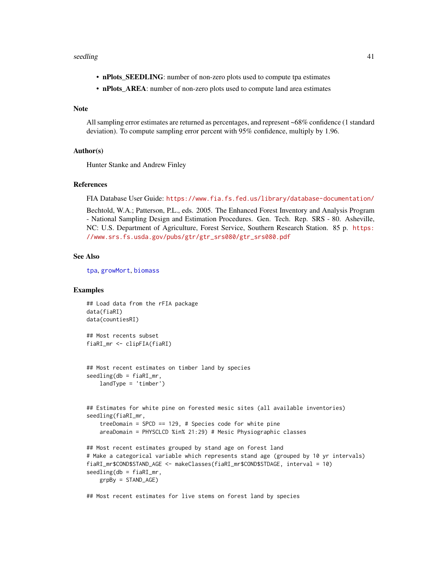#### <span id="page-40-0"></span>seedling the set of the set of the set of the set of the set of the set of the set of the set of the set of the set of the set of the set of the set of the set of the set of the set of the set of the set of the set of the

- nPlots\_SEEDLING: number of non-zero plots used to compute tpa estimates
- nPlots\_AREA: number of non-zero plots used to compute land area estimates

# Note

All sampling error estimates are returned as percentages, and represent ~68% confidence (1 standard deviation). To compute sampling error percent with 95% confidence, multiply by 1.96.

#### Author(s)

Hunter Stanke and Andrew Finley

#### References

FIA Database User Guide: <https://www.fia.fs.fed.us/library/database-documentation/>

Bechtold, W.A.; Patterson, P.L., eds. 2005. The Enhanced Forest Inventory and Analysis Program - National Sampling Design and Estimation Procedures. Gen. Tech. Rep. SRS - 80. Asheville, NC: U.S. Department of Agriculture, Forest Service, Southern Research Station. 85 p. [https:](https://www.srs.fs.usda.gov/pubs/gtr/gtr_srs080/gtr_srs080.pdf) [//www.srs.fs.usda.gov/pubs/gtr/gtr\\_srs080/gtr\\_srs080.pdf](https://www.srs.fs.usda.gov/pubs/gtr/gtr_srs080/gtr_srs080.pdf)

#### See Also

[tpa](#page-45-1), [growMort](#page-23-1), [biomass](#page-5-1)

### Examples

```
## Load data from the rFIA package
data(fiaRI)
data(countiesRI)
## Most recents subset
fiaRI_mr <- clipFIA(fiaRI)
## Most recent estimates on timber land by species
seedling(db = fiaRI_mr,landType = 'timber')
## Estimates for white pine on forested mesic sites (all available inventories)
seedling(fiaRI_mr,
    treeDomain = SPCD == 129, # Species code for white pine
    areaDomain = PHYSCLCD %in% 21:29) # Mesic Physiographic classes
## Most recent estimates grouped by stand age on forest land
# Make a categorical variable which represents stand age (grouped by 10 yr intervals)
fiaRI_mr$COND$STAND_AGE <- makeClasses(fiaRI_mr$COND$STDAGE, interval = 10)
seedling(db = fiaRI_mr,grpBy = STAND_AGE)
```
## Most recent estimates for live stems on forest land by species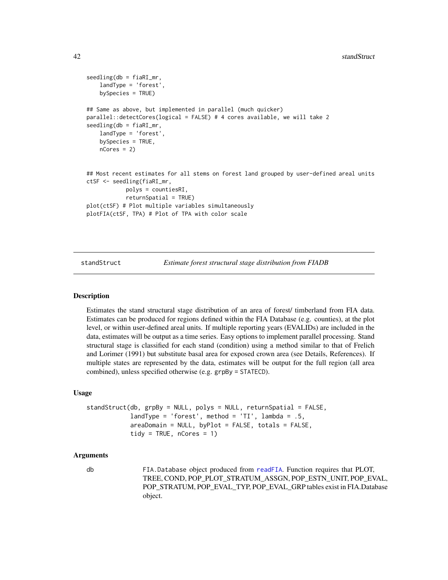```
seedling(db = fiaRI_mr,
    landType = 'forest',
   bySpecies = TRUE)
## Same as above, but implemented in parallel (much quicker)
parallel::detectCores(logical = FALSE) # 4 cores available, we will take 2
seedling(db = fiaRI_mr,
    landType = 'forest',
   bySpecies = TRUE,
   nCores = 2## Most recent estimates for all stems on forest land grouped by user-defined areal units
ctSF <- seedling(fiaRI_mr,
            polys = countiesRI,
            returnSpatial = TRUE)
plot(ctSF) # Plot multiple variables simultaneously
plotFIA(ctSF, TPA) # Plot of TPA with color scale
```
<span id="page-41-1"></span>

standStruct *Estimate forest structural stage distribution from FIADB*

#### **Description**

Estimates the stand structural stage distribution of an area of forest/ timberland from FIA data. Estimates can be produced for regions defined within the FIA Database (e.g. counties), at the plot level, or within user-defined areal units. If multiple reporting years (EVALIDs) are included in the data, estimates will be output as a time series. Easy options to implement parallel processing. Stand structural stage is classified for each stand (condition) using a method similar to that of Frelich and Lorimer (1991) but substitute basal area for exposed crown area (see Details, References). If multiple states are represented by the data, estimates will be output for the full region (all area combined), unless specified otherwise (e.g. grpBy = STATECD).

#### Usage

```
standStruct(db, grpBy = NULL, polys = NULL, returnSpatial = FALSE,
           landType = 'forest', method = 'TI', lambda = .5,
           areaDomain = NULL, byPlot = FALSE, totals = FALSE,
           tidy = TRUE, nCores = 1)
```
#### Arguments

db FIA.Database object produced from [readFIA](#page-35-1). Function requires that PLOT, TREE, COND, POP\_PLOT\_STRATUM\_ASSGN, POP\_ESTN\_UNIT, POP\_EVAL, POP\_STRATUM, POP\_EVAL\_TYP, POP\_EVAL\_GRP tables exist in FIA.Database object.

<span id="page-41-0"></span>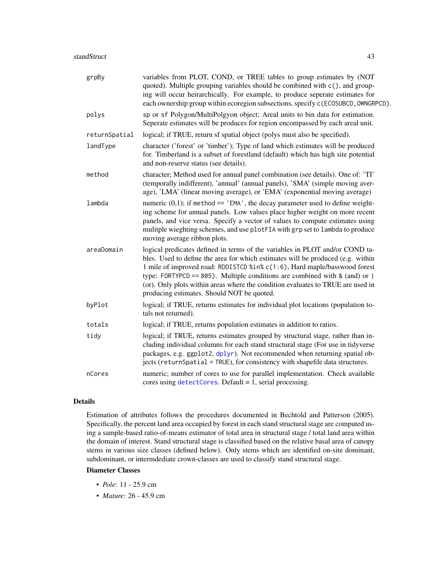<span id="page-42-0"></span>

| grpBy         | variables from PLOT, COND, or TREE tables to group estimates by (NOT<br>quoted). Multiple grouping variables should be combined with c(), and group-<br>ing will occur heirarchically. For example, to produce seperate estimates for<br>each ownership group within ecoregion subsections, specify c (ECOSUBCD, OWNGRPCD).                                                                                                                                 |
|---------------|-------------------------------------------------------------------------------------------------------------------------------------------------------------------------------------------------------------------------------------------------------------------------------------------------------------------------------------------------------------------------------------------------------------------------------------------------------------|
| polys         | sp or sf Polygon/MultiPolgyon object; Areal units to bin data for estimation.<br>Seperate estimates will be produces for region encompassed by each areal unit.                                                                                                                                                                                                                                                                                             |
| returnSpatial | logical; if TRUE, return sf spatial object (polys must also be specified).                                                                                                                                                                                                                                                                                                                                                                                  |
| landType      | character ('forest' or 'timber'); Type of land which estimates will be produced<br>for. Timberland is a subset of forestland (default) which has high site potential<br>and non-reserve status (see details).                                                                                                                                                                                                                                               |
| method        | character; Method used for annual panel combination (see details). One of: 'TI'<br>(temporally indifferent), 'annual' (annual panels), 'SMA' (simple moving aver-<br>age), 'LMA' (linear moving average), or 'EMA' (exponential moving average)                                                                                                                                                                                                             |
| lambda        | numeric $(0,1)$ ; if method == 'EMA', the decay parameter used to define weight-<br>ing scheme for annual panels. Low values place higher weight on more recent<br>panels, and vice versa. Specify a vector of values to compute estimates using<br>mulitple wieghting schemes, and use plotFIA with grp set to lambda to produce<br>moving average ribbon plots.                                                                                           |
| areaDomain    | logical predicates defined in terms of the variables in PLOT and/or COND ta-<br>bles. Used to define the area for which estimates will be produced (e.g. within<br>1 mile of improved road: RDDISTCD %in% c(1:6), Hard maple/basswood forest<br>type: FORTYPCD == 805). Multiple conditions are combined with & (and) or  <br>(or). Only plots within areas where the condition evaluates to TRUE are used in<br>producing estimates. Should NOT be quoted. |
| byPlot        | logical; if TRUE, returns estimates for individual plot locations (population to-<br>tals not returned).                                                                                                                                                                                                                                                                                                                                                    |
| totals        | logical; if TRUE, returns population estimates in addition to ratios.                                                                                                                                                                                                                                                                                                                                                                                       |
| tidy          | logical; if TRUE, returns estimates grouped by structural stage, rather than in-<br>cluding individual columns for each stand structural stage (For use in tidyverse<br>packages, e.g. ggplot2, dplyr). Not recommended when returning spatial ob-<br>jects (returnSpatial = TRUE), for consistency with shapefile data structures.                                                                                                                         |
| nCores        | numeric; number of cores to use for parallel implementation. Check available<br>cores using $detectCores$ . Default = 1, serial processing.                                                                                                                                                                                                                                                                                                                 |

# Details

Estimation of attributes follows the procedures documented in Bechtold and Patterson (2005). Specifically, the percent land area occupied by forest in each stand structural stage are computed using a sample-based ratio-of-means estimator of total area in structural stage / total land area within the domain of interest. Stand structural stage is classified based on the relative basal area of canopy stems in various size classes (defined below). Only stems which are identified on-site dominant, subdominant, or intermdediate crown-classes are used to classify stand structural stage.

#### Diameter Classes

- *Pole*: 11 25.9 cm
- *Mature*: 26 45.9 cm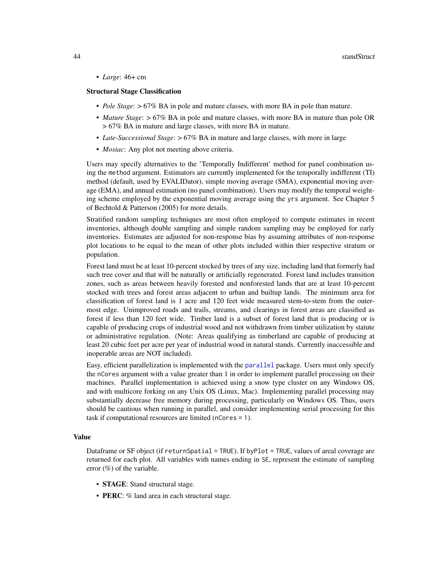<span id="page-43-0"></span>• *Large*: 46+ cm

#### Structural Stage Classification

- *Pole Stage*: > 67% BA in pole and mature classes, with more BA in pole than mature.
- *Mature Stage*: > 67% BA in pole and mature classes, with more BA in mature than pole OR > 67% BA in mature and large classes, with more BA in mature.
- *Late-Successional Stage*:  $> 67\%$  BA in mature and large classes, with more in large
- *Mosiac*: Any plot not meeting above criteria.

Users may specify alternatives to the 'Temporally Indifferent' method for panel combination using the method argument. Estimators are currently implemented for the temporally indifferent (TI) method (default, used by EVALIDator), simple moving average (SMA), exponential moving average (EMA), and annual estimation (no panel combination). Users may modify the temporal weighting scheme employed by the exponential moving average using the yrs argument. See Chapter 5 of Bechtold & Patterson (2005) for more details.

Stratified random sampling techniques are most often employed to compute estimates in recent inventories, although double sampling and simple random sampling may be employed for early inventories. Estimates are adjusted for non-response bias by assuming attributes of non-response plot locations to be equal to the mean of other plots included within thier respective stratum or population.

Forest land must be at least 10-percent stocked by trees of any size, including land that formerly had such tree cover and that will be naturally or artificially regenerated. Forest land includes transition zones, such as areas between heavily forested and nonforested lands that are at least 10-percent stocked with trees and forest areas adjacent to urban and builtup lands. The minimum area for classification of forest land is 1 acre and 120 feet wide measured stem-to-stem from the outermost edge. Unimproved roads and trails, streams, and clearings in forest areas are classified as forest if less than 120 feet wide. Timber land is a subset of forest land that is producing or is capable of producing crops of industrial wood and not withdrawn from timber utilization by statute or administrative regulation. (Note: Areas qualifying as timberland are capable of producing at least 20 cubic feet per acre per year of industrial wood in natural stands. Currently inaccessible and inoperable areas are NOT included).

Easy, efficient parallelization is implemented with the [parallel](#page-0-0) package. Users must only specify the nCores argument with a value greater than 1 in order to implement parallel processing on their machines. Parallel implementation is achieved using a snow type cluster on any Windows OS, and with multicore forking on any Unix OS (Linux, Mac). Implementing parallel processing may substantially decrease free memory during processing, particularly on Windows OS. Thus, users should be cautious when running in parallel, and consider implementing serial processing for this task if computational resources are limited (nCores = 1).

#### Value

Dataframe or SF object (if returnSpatial = TRUE). If byPlot = TRUE, values of areal coverage are returned for each plot. All variables with names ending in SE, represent the estimate of sampling error  $(\%)$  of the variable.

- **STAGE**: Stand structural stage.
- PERC: % land area in each structural stage.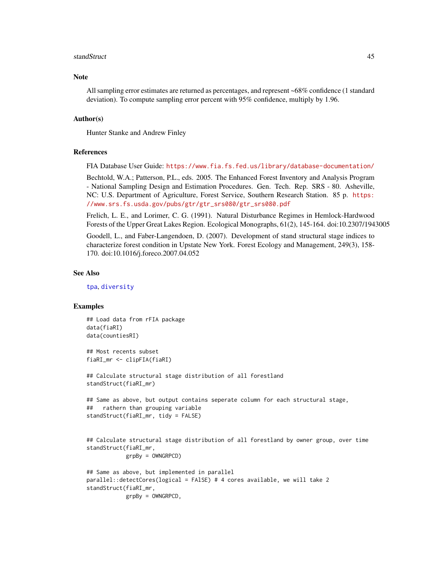#### <span id="page-44-0"></span>standStruct **45**

#### **Note**

All sampling error estimates are returned as percentages, and represent ~68% confidence (1 standard deviation). To compute sampling error percent with 95% confidence, multiply by 1.96.

#### Author(s)

Hunter Stanke and Andrew Finley

#### References

FIA Database User Guide: <https://www.fia.fs.fed.us/library/database-documentation/>

Bechtold, W.A.; Patterson, P.L., eds. 2005. The Enhanced Forest Inventory and Analysis Program - National Sampling Design and Estimation Procedures. Gen. Tech. Rep. SRS - 80. Asheville, NC: U.S. Department of Agriculture, Forest Service, Southern Research Station. 85 p. [https:](https://www.srs.fs.usda.gov/pubs/gtr/gtr_srs080/gtr_srs080.pdf) [//www.srs.fs.usda.gov/pubs/gtr/gtr\\_srs080/gtr\\_srs080.pdf](https://www.srs.fs.usda.gov/pubs/gtr/gtr_srs080/gtr_srs080.pdf)

Frelich, L. E., and Lorimer, C. G. (1991). Natural Disturbance Regimes in Hemlock-Hardwood Forests of the Upper Great Lakes Region. Ecological Monographs, 61(2), 145-164. doi:10.2307/1943005

Goodell, L., and Faber-Langendoen, D. (2007). Development of stand structural stage indices to characterize forest condition in Upstate New York. Forest Ecology and Management, 249(3), 158- 170. doi:10.1016/j.foreco.2007.04.052

#### See Also

[tpa](#page-45-1), [diversity](#page-11-1)

# Examples

## Load data from rFIA package data(fiaRI) data(countiesRI)

## Most recents subset fiaRI\_mr <- clipFIA(fiaRI)

```
## Calculate structural stage distribution of all forestland
standStruct(fiaRI_mr)
```

```
## Same as above, but output contains seperate column for each structural stage,
## rathern than grouping variable
standStruct(fiaRI_mr, tidy = FALSE)
```

```
## Calculate structural stage distribution of all forestland by owner group, over time
standStruct(fiaRI_mr,
           grpBy = OWNGRPCD)
```

```
## Same as above, but implemented in parallel
parallel::detectCores(logical = FAlSE) # 4 cores available, we will take 2
standStruct(fiaRI_mr,
           grpBy = OWNGRPCD,
```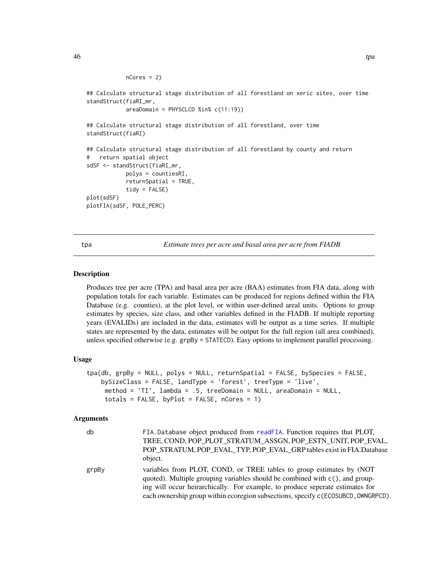```
nCores = 2)
## Calculate structural stage distribution of all forestland on xeric sites, over time
standStruct(fiaRI_mr,
            areaDomain = PHYSCLCD %in% c(11:19))
## Calculate structural stage distribution of all forestland, over time
standStruct(fiaRI)
## Calculate structural stage distribution of all forestland by county and return
# return spatial object
sdSF <- standStruct(fiaRI_mr,
            polys = countiesRI,
            returnSpatial = TRUE,
            tidy = FALSE)
plot(sdSF)
plotFIA(sdSF, POLE_PERC)
```
<span id="page-45-1"></span>tpa *Estimate trees per acre and basal area per acre from FIADB*

#### Description

Produces tree per acre (TPA) and basal area per acre (BAA) estimates from FIA data, along with population totals for each variable. Estimates can be produced for regions defined within the FIA Database (e.g. counties), at the plot level, or within user-defined areal units. Options to group estimates by species, size class, and other variables defined in the FIADB. If multiple reporting years (EVALIDs) are included in the data, estimates will be output as a time series. If multiple states are represented by the data, estimates will be output for the full region (all area combined), unless specified otherwise (e.g. grpBy = STATECD). Easy options to implement parallel processing.

#### Usage

```
tpa(db, grpBy = NULL, polys = NULL, returnSpatial = FALSE, bySpecies = FALSE,
   bySizeClass = FALSE, landType = 'forest', treeType = 'live',
    method = 'TI', lambda = .5, treeDomain = NULL, areaDomain = NULL,
    totals = FALSE, byPlot = FALSE, nCores = 1)
```

| db    | FIA.Database object produced from readFIA. Function requires that PLOT,<br>TREE, COND, POP PLOT STRATUM ASSGN, POP ESTN UNIT, POP EVAL,<br>POP_STRATUM, POP_EVAL_TYP, POP_EVAL_GRP tables exist in FIA.Database<br>object.                                                                                                  |
|-------|-----------------------------------------------------------------------------------------------------------------------------------------------------------------------------------------------------------------------------------------------------------------------------------------------------------------------------|
| grpBy | variables from PLOT, COND, or TREE tables to group estimates by (NOT<br>quoted). Multiple grouping variables should be combined with c(), and group-<br>ing will occur heirarchically. For example, to produce seperate estimates for<br>each ownership group within ecoregion subsections, specify c (ECOSUBCD, OWNGRPCD). |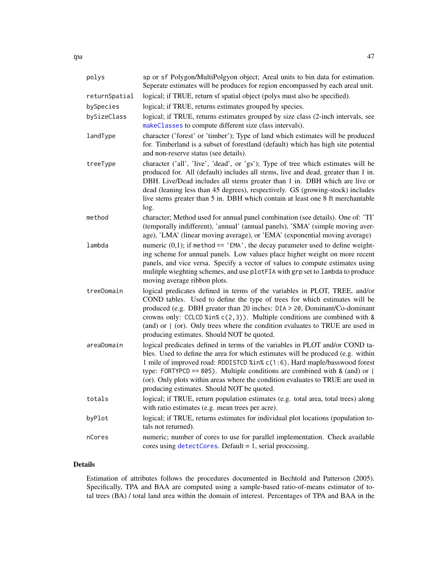<span id="page-46-0"></span>

| polys         | sp or sf Polygon/MultiPolgyon object; Areal units to bin data for estimation.<br>Seperate estimates will be produces for region encompassed by each areal unit.                                                                                                                                                                                                                                                                                               |
|---------------|---------------------------------------------------------------------------------------------------------------------------------------------------------------------------------------------------------------------------------------------------------------------------------------------------------------------------------------------------------------------------------------------------------------------------------------------------------------|
| returnSpatial | logical; if TRUE, return sf spatial object (polys must also be specified).                                                                                                                                                                                                                                                                                                                                                                                    |
| bySpecies     | logical; if TRUE, returns estimates grouped by species.                                                                                                                                                                                                                                                                                                                                                                                                       |
| bySizeClass   | logical; if TRUE, returns estimates grouped by size class (2-inch intervals, see<br>makeClasses to compute different size class intervals).                                                                                                                                                                                                                                                                                                                   |
| landType      | character ('forest' or 'timber'); Type of land which estimates will be produced<br>for. Timberland is a subset of forestland (default) which has high site potential<br>and non-reserve status (see details).                                                                                                                                                                                                                                                 |
| treeType      | character ('all', 'live', 'dead', or 'gs'); Type of tree which estimates will be<br>produced for. All (default) includes all stems, live and dead, greater than 1 in.<br>DBH. Live/Dead includes all stems greater than 1 in. DBH which are live or<br>dead (leaning less than 45 degrees), respectively. GS (growing-stock) includes<br>live stems greater than 5 in. DBH which contain at least one 8 ft merchantable<br>log.                               |
| method        | character; Method used for annual panel combination (see details). One of: 'TI'<br>(temporally indifferent), 'annual' (annual panels), 'SMA' (simple moving aver-<br>age), 'LMA' (linear moving average), or 'EMA' (exponential moving average)                                                                                                                                                                                                               |
| lambda        | numeric $(0,1)$ ; if method == 'EMA', the decay parameter used to define weight-<br>ing scheme for annual panels. Low values place higher weight on more recent<br>panels, and vice versa. Specify a vector of values to compute estimates using<br>mulitple wieghting schemes, and use plotFIA with grp set to lambda to produce<br>moving average ribbon plots.                                                                                             |
| treeDomain    | logical predicates defined in terms of the variables in PLOT, TREE, and/or<br>COND tables. Used to define the type of trees for which estimates will be<br>produced (e.g. DBH greater than 20 inches: DIA > 20, Dominant/Co-dominant<br>crowns only: CCLCD %in% c(2,3)). Multiple conditions are combined with &<br>(and) or $\mid$ (or). Only trees where the condition evaluates to TRUE are used in<br>producing estimates. Should NOT be quoted.          |
| areaDomain    | logical predicates defined in terms of the variables in PLOT and/or COND ta-<br>bles. Used to define the area for which estimates will be produced (e.g. within<br>1 mile of improved road: RDDISTCD %in% c(1:6), Hard maple/basswood forest<br>type: FORTYPCD == 805). Multiple conditions are combined with & (and) or $ $<br>(or). Only plots within areas where the condition evaluates to TRUE are used in<br>producing estimates. Should NOT be quoted. |
| totals        | logical; if TRUE, return population estimates (e.g. total area, total trees) along<br>with ratio estimates (e.g. mean trees per acre).                                                                                                                                                                                                                                                                                                                        |
| byPlot        | logical; if TRUE, returns estimates for individual plot locations (population to-<br>tals not returned).                                                                                                                                                                                                                                                                                                                                                      |
| nCores        | numeric; number of cores to use for parallel implementation. Check available<br>cores using $detectCores$ . Default = 1, serial processing.                                                                                                                                                                                                                                                                                                                   |

# Details

Estimation of attributes follows the procedures documented in Bechtold and Patterson (2005). Specifically, TPA and BAA are computed using a sample-based ratio-of-means estimator of total trees (BA) / total land area within the domain of interest. Percentages of TPA and BAA in the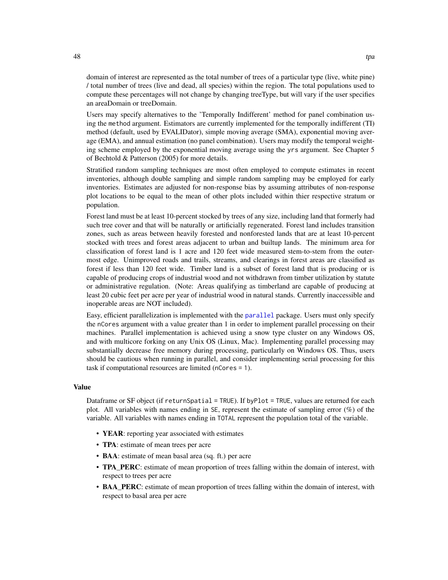<span id="page-47-0"></span>domain of interest are represented as the total number of trees of a particular type (live, white pine) / total number of trees (live and dead, all species) within the region. The total populations used to compute these percentages will not change by changing treeType, but will vary if the user specifies an areaDomain or treeDomain.

Users may specify alternatives to the 'Temporally Indifferent' method for panel combination using the method argument. Estimators are currently implemented for the temporally indifferent (TI) method (default, used by EVALIDator), simple moving average (SMA), exponential moving average (EMA), and annual estimation (no panel combination). Users may modify the temporal weighting scheme employed by the exponential moving average using the yrs argument. See Chapter 5 of Bechtold & Patterson (2005) for more details.

Stratified random sampling techniques are most often employed to compute estimates in recent inventories, although double sampling and simple random sampling may be employed for early inventories. Estimates are adjusted for non-response bias by assuming attributes of non-response plot locations to be equal to the mean of other plots included within thier respective stratum or population.

Forest land must be at least 10-percent stocked by trees of any size, including land that formerly had such tree cover and that will be naturally or artificially regenerated. Forest land includes transition zones, such as areas between heavily forested and nonforested lands that are at least 10-percent stocked with trees and forest areas adjacent to urban and builtup lands. The minimum area for classification of forest land is 1 acre and 120 feet wide measured stem-to-stem from the outermost edge. Unimproved roads and trails, streams, and clearings in forest areas are classified as forest if less than 120 feet wide. Timber land is a subset of forest land that is producing or is capable of producing crops of industrial wood and not withdrawn from timber utilization by statute or administrative regulation. (Note: Areas qualifying as timberland are capable of producing at least 20 cubic feet per acre per year of industrial wood in natural stands. Currently inaccessible and inoperable areas are NOT included).

Easy, efficient parallelization is implemented with the [parallel](#page-0-0) package. Users must only specify the nCores argument with a value greater than 1 in order to implement parallel processing on their machines. Parallel implementation is achieved using a snow type cluster on any Windows OS, and with multicore forking on any Unix OS (Linux, Mac). Implementing parallel processing may substantially decrease free memory during processing, particularly on Windows OS. Thus, users should be cautious when running in parallel, and consider implementing serial processing for this task if computational resources are limited (nCores = 1).

# Value

Dataframe or SF object (if returnSpatial = TRUE). If byPlot = TRUE, values are returned for each plot. All variables with names ending in SE, represent the estimate of sampling error (%) of the variable. All variables with names ending in TOTAL represent the population total of the variable.

- YEAR: reporting year associated with estimates
- TPA: estimate of mean trees per acre
- BAA: estimate of mean basal area (sq. ft.) per acre
- TPA\_PERC: estimate of mean proportion of trees falling within the domain of interest, with respect to trees per acre
- BAA PERC: estimate of mean proportion of trees falling within the domain of interest, with respect to basal area per acre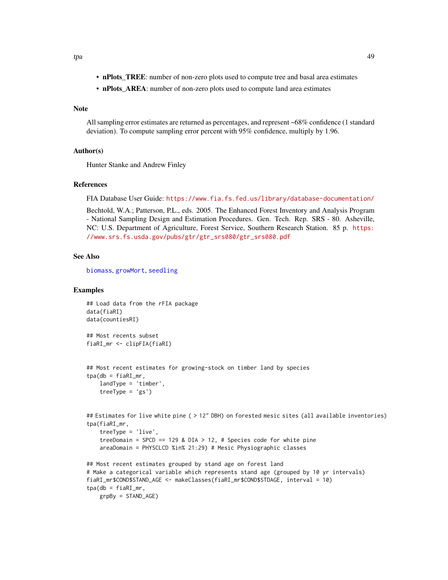- <span id="page-48-0"></span>• nPlots\_TREE: number of non-zero plots used to compute tree and basal area estimates
- nPlots\_AREA: number of non-zero plots used to compute land area estimates

# Note

All sampling error estimates are returned as percentages, and represent ~68% confidence (1 standard deviation). To compute sampling error percent with 95% confidence, multiply by 1.96.

#### Author(s)

Hunter Stanke and Andrew Finley

#### References

FIA Database User Guide: <https://www.fia.fs.fed.us/library/database-documentation/>

Bechtold, W.A.; Patterson, P.L., eds. 2005. The Enhanced Forest Inventory and Analysis Program - National Sampling Design and Estimation Procedures. Gen. Tech. Rep. SRS - 80. Asheville, NC: U.S. Department of Agriculture, Forest Service, Southern Research Station. 85 p. [https:](https://www.srs.fs.usda.gov/pubs/gtr/gtr_srs080/gtr_srs080.pdf) [//www.srs.fs.usda.gov/pubs/gtr/gtr\\_srs080/gtr\\_srs080.pdf](https://www.srs.fs.usda.gov/pubs/gtr/gtr_srs080/gtr_srs080.pdf)

#### See Also

[biomass](#page-5-1), [growMort](#page-23-1), [seedling](#page-37-1)

#### Examples

```
## Load data from the rFIA package
data(fiaRI)
data(countiesRI)
## Most recents subset
fiaRI_mr <- clipFIA(fiaRI)
## Most recent estimates for growing-stock on timber land by species
tpa(db = fiaRI_mr,landType = 'timber',
    treeType = 'gs')
## Estimates for live white pine ( > 12" DBH) on forested mesic sites (all available inventories)
tpa(fiaRI_mr,
    treeType = 'live',
    treeDomain = SPCD == 129 & DIA > 12, # Species code for white pine
   areaDomain = PHYSCLCD %in% 21:29) # Mesic Physiographic classes
## Most recent estimates grouped by stand age on forest land
# Make a categorical variable which represents stand age (grouped by 10 yr intervals)
fiaRI_mr$COND$STAND_AGE <- makeClasses(fiaRI_mr$COND$STDAGE, interval = 10)
tpa(db = fiaRI_mr,grpBy = STAND_AGE)
```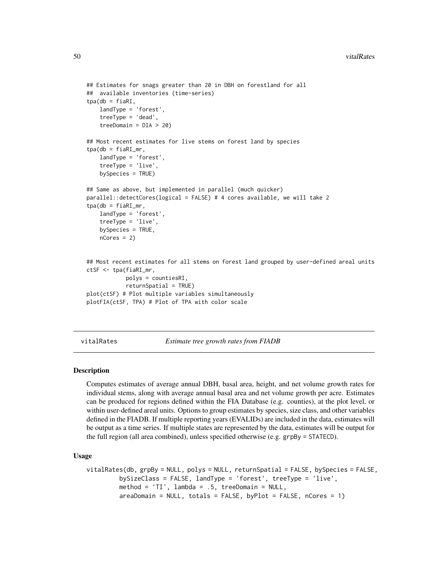```
## Estimates for snags greater than 20 in DBH on forestland for all
## available inventories (time-series)
tpa(db = fiaRI,landType = 'forest',
    treeType = 'dead',
    treeDomain = DIA > 20)
## Most recent estimates for live stems on forest land by species
tpa(db = fiaRI_mr,landType = 'forest',
    treeType = 'live',
    bySpecies = TRUE)
## Same as above, but implemented in parallel (much quicker)
parallel::detectCores(logical = FALSE) # 4 cores available, we will take 2
tpa(db = fiaRI_mr,landType = 'forest',
    treeType = 'live',
   bySpecies = TRUE,
   nCores = 2## Most recent estimates for all stems on forest land grouped by user-defined areal units
ctSF <- tpa(fiaRI_mr,
            polys = countiesRI,
            returnSpatial = TRUE)
plot(ctSF) # Plot multiple variables simultaneously
plotFIA(ctSF, TPA) # Plot of TPA with color scale
```
<span id="page-49-1"></span>vitalRates *Estimate tree growth rates from FIADB*

#### Description

Computes estimates of average annual DBH, basal area, height, and net volume growth rates for individual stems, along with average annual basal area and net volume growth per acre. Estimates can be produced for regions defined within the FIA Database (e.g. counties), at the plot level, or within user-defined areal units. Options to group estimates by species, size class, and other variables defined in the FIADB. If multiple reporting years (EVALIDs) are included in the data, estimates will be output as a time series. If multiple states are represented by the data, estimates will be output for the full region (all area combined), unless specified otherwise (e.g. grpBy = STATECD).

#### Usage

```
vitalRates(db, grpBy = NULL, polys = NULL, returnSpatial = FALSE, bySpecies = FALSE,
         bySizeClass = FALSE, landType = 'forest', treeType = 'live',
         method = 'TI', lambda = .5, treeDomain = NULL,
         areaDomain = NULL, totals = FALSE, byPlot = FALSE, nCores = 1)
```
<span id="page-49-0"></span>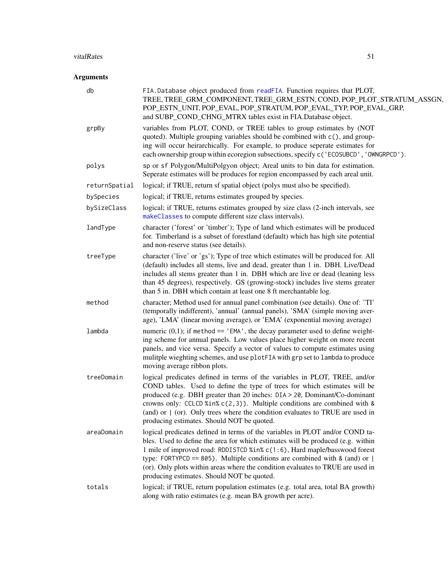#### <span id="page-50-0"></span>vitalRates 51

| db            | FIA.Database object produced from readFIA. Function requires that PLOT,<br>TREE, TREE_GRM_COMPONENT, TREE_GRM_ESTN, COND, POP_PLOT_STRATUM_ASSGN,<br>POP_ESTN_UNIT, POP_EVAL, POP_STRATUM, POP_EVAL_TYP, POP_EVAL_GRP,<br>and SUBP_COND_CHNG_MTRX tables exist in FIA.Database object.                                                                                                                                                                        |
|---------------|---------------------------------------------------------------------------------------------------------------------------------------------------------------------------------------------------------------------------------------------------------------------------------------------------------------------------------------------------------------------------------------------------------------------------------------------------------------|
| grpBy         | variables from PLOT, COND, or TREE tables to group estimates by (NOT<br>quoted). Multiple grouping variables should be combined with c(), and group-<br>ing will occur heirarchically. For example, to produce seperate estimates for<br>each ownership group within ecoregion subsections, specify c ('ECOSUBCD', 'OWNGRPCD').                                                                                                                               |
| polys         | sp or sf Polygon/MultiPolgyon object; Areal units to bin data for estimation.<br>Seperate estimates will be produces for region encompassed by each areal unit.                                                                                                                                                                                                                                                                                               |
| returnSpatial | logical; if TRUE, return sf spatial object (polys must also be specified).                                                                                                                                                                                                                                                                                                                                                                                    |
| bySpecies     | logical; if TRUE, returns estimates grouped by species.                                                                                                                                                                                                                                                                                                                                                                                                       |
| bySizeClass   | logical; if TRUE, returns estimates grouped by size class (2-inch intervals, see<br>makeClasses to compute different size class intervals).                                                                                                                                                                                                                                                                                                                   |
| landType      | character ('forest' or 'timber'); Type of land which estimates will be produced<br>for. Timberland is a subset of forestland (default) which has high site potential<br>and non-reserve status (see details).                                                                                                                                                                                                                                                 |
| treeType      | character ('live' or 'gs'); Type of tree which estimates will be produced for. All<br>(default) includes all stems, live and dead, greater than 1 in. DBH. Live/Dead<br>includes all stems greater than 1 in. DBH which are live or dead (leaning less<br>than 45 degrees), respectively. GS (growing-stock) includes live stems greater<br>than 5 in. DBH which contain at least one 8 ft merchantable log.                                                  |
| method        | character; Method used for annual panel combination (see details). One of: 'TI'<br>(temporally indifferent), 'annual' (annual panels), 'SMA' (simple moving aver-<br>age), 'LMA' (linear moving average), or 'EMA' (exponential moving average)                                                                                                                                                                                                               |
| lambda        | numeric $(0,1)$ ; if method == 'EMA', the decay parameter used to define weight-<br>ing scheme for annual panels. Low values place higher weight on more recent<br>panels, and vice versa. Specify a vector of values to compute estimates using<br>mulitple wieghting schemes, and use plotFIA with grp set to lambda to produce<br>moving average ribbon plots.                                                                                             |
| treeDomain    | logical predicates defined in terms of the variables in PLOT, TREE, and/or<br>COND tables. Used to define the type of trees for which estimates will be<br>produced (e.g. DBH greater than 20 inches: DIA > 20, Dominant/Co-dominant<br>crowns only: CCLCD %in% $c(2,3)$ ). Multiple conditions are combined with &<br>(and) or $\mid$ (or). Only trees where the condition evaluates to TRUE are used in<br>producing estimates. Should NOT be quoted.       |
| areaDomain    | logical predicates defined in terms of the variables in PLOT and/or COND ta-<br>bles. Used to define the area for which estimates will be produced (e.g. within<br>1 mile of improved road: RDDISTCD %in% c(1:6), Hard maple/basswood forest<br>type: FORTYPCD == 805). Multiple conditions are combined with & (and) or $ $<br>(or). Only plots within areas where the condition evaluates to TRUE are used in<br>producing estimates. Should NOT be quoted. |
| totals        | logical; if TRUE, return population estimates (e.g. total area, total BA growth)<br>along with ratio estimates (e.g. mean BA growth per acre).                                                                                                                                                                                                                                                                                                                |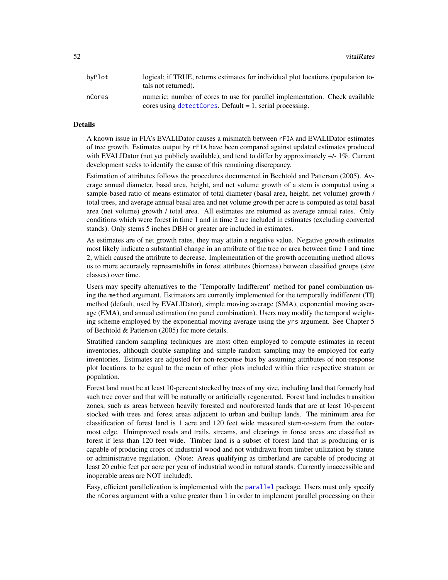<span id="page-51-0"></span>

| bvPlot | logical; if TRUE, returns estimates for individual plot locations (population to-<br>tals not returned). |
|--------|----------------------------------------------------------------------------------------------------------|
| nCores | numeric; number of cores to use for parallel implementation. Check available                             |
|        | cores using $detectCores$ . Default = 1, serial processing.                                              |

#### Details

A known issue in FIA's EVALIDator causes a mismatch between rFIA and EVALIDator estimates of tree growth. Estimates output by rFIA have been compared against updated estimates produced with EVALIDator (not yet publicly available), and tend to differ by approximately  $+/-1\%$ . Current development seeks to identify the cause of this remaining discrepancy.

Estimation of attributes follows the procedures documented in Bechtold and Patterson (2005). Average annual diameter, basal area, height, and net volume growth of a stem is computed using a sample-based ratio of means estimator of total diameter (basal area, height, net volume) growth / total trees, and average annual basal area and net volume growth per acre is computed as total basal area (net volume) growth / total area. All estimates are returned as average annual rates. Only conditions which were forest in time 1 and in time 2 are included in estimates (excluding converted stands). Only stems 5 inches DBH or greater are included in estimates.

As estimates are of net growth rates, they may attain a negative value. Negative growth estimates most likely indicate a substantial change in an attribute of the tree or area between time 1 and time 2, which caused the attribute to decrease. Implementation of the growth accounting method allows us to more accurately representshifts in forest attributes (biomass) between classified groups (size classes) over time.

Users may specify alternatives to the 'Temporally Indifferent' method for panel combination using the method argument. Estimators are currently implemented for the temporally indifferent (TI) method (default, used by EVALIDator), simple moving average (SMA), exponential moving average (EMA), and annual estimation (no panel combination). Users may modify the temporal weighting scheme employed by the exponential moving average using the yrs argument. See Chapter 5 of Bechtold & Patterson (2005) for more details.

Stratified random sampling techniques are most often employed to compute estimates in recent inventories, although double sampling and simple random sampling may be employed for early inventories. Estimates are adjusted for non-response bias by assuming attributes of non-response plot locations to be equal to the mean of other plots included within thier respective stratum or population.

Forest land must be at least 10-percent stocked by trees of any size, including land that formerly had such tree cover and that will be naturally or artificially regenerated. Forest land includes transition zones, such as areas between heavily forested and nonforested lands that are at least 10-percent stocked with trees and forest areas adjacent to urban and builtup lands. The minimum area for classification of forest land is 1 acre and 120 feet wide measured stem-to-stem from the outermost edge. Unimproved roads and trails, streams, and clearings in forest areas are classified as forest if less than 120 feet wide. Timber land is a subset of forest land that is producing or is capable of producing crops of industrial wood and not withdrawn from timber utilization by statute or administrative regulation. (Note: Areas qualifying as timberland are capable of producing at least 20 cubic feet per acre per year of industrial wood in natural stands. Currently inaccessible and inoperable areas are NOT included).

Easy, efficient parallelization is implemented with the [parallel](#page-0-0) package. Users must only specify the nCores argument with a value greater than 1 in order to implement parallel processing on their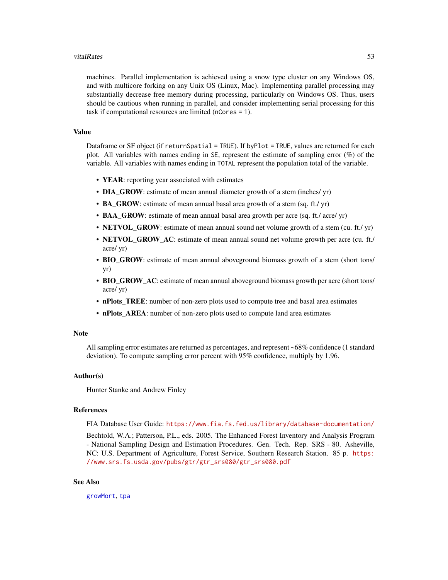#### <span id="page-52-0"></span>vitalRates 53

machines. Parallel implementation is achieved using a snow type cluster on any Windows OS, and with multicore forking on any Unix OS (Linux, Mac). Implementing parallel processing may substantially decrease free memory during processing, particularly on Windows OS. Thus, users should be cautious when running in parallel, and consider implementing serial processing for this task if computational resources are limited (nCores = 1).

# Value

Dataframe or SF object (if returnSpatial = TRUE). If byPlot = TRUE, values are returned for each plot. All variables with names ending in SE, represent the estimate of sampling error (%) of the variable. All variables with names ending in TOTAL represent the population total of the variable.

- YEAR: reporting year associated with estimates
- DIA\_GROW: estimate of mean annual diameter growth of a stem (inches/ yr)
- BA\_GROW: estimate of mean annual basal area growth of a stem (sq. ft./yr)
- BAA\_GROW: estimate of mean annual basal area growth per acre (sq. ft./ acre/ yr)
- NETVOL\_GROW: estimate of mean annual sound net volume growth of a stem (cu. ft./ yr)
- NETVOL GROW AC: estimate of mean annual sound net volume growth per acre (cu. ft./ acre/ yr)
- BIO\_GROW: estimate of mean annual aboveground biomass growth of a stem (short tons/ yr)
- BIO GROW AC: estimate of mean annual aboveground biomass growth per acre (short tons/ acre/ yr)
- nPlots\_TREE: number of non-zero plots used to compute tree and basal area estimates
- nPlots\_AREA: number of non-zero plots used to compute land area estimates

#### **Note**

All sampling error estimates are returned as percentages, and represent ~68% confidence (1 standard deviation). To compute sampling error percent with 95% confidence, multiply by 1.96.

#### Author(s)

Hunter Stanke and Andrew Finley

# References

FIA Database User Guide: <https://www.fia.fs.fed.us/library/database-documentation/>

Bechtold, W.A.; Patterson, P.L., eds. 2005. The Enhanced Forest Inventory and Analysis Program - National Sampling Design and Estimation Procedures. Gen. Tech. Rep. SRS - 80. Asheville, NC: U.S. Department of Agriculture, Forest Service, Southern Research Station. 85 p. [https:](https://www.srs.fs.usda.gov/pubs/gtr/gtr_srs080/gtr_srs080.pdf) [//www.srs.fs.usda.gov/pubs/gtr/gtr\\_srs080/gtr\\_srs080.pdf](https://www.srs.fs.usda.gov/pubs/gtr/gtr_srs080/gtr_srs080.pdf)

# See Also

[growMort](#page-23-1), [tpa](#page-45-1)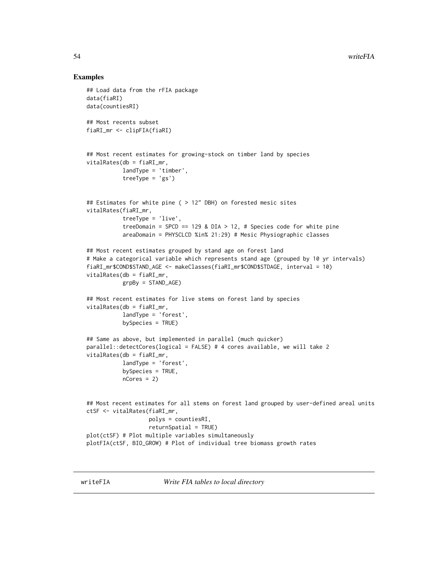#### Examples

```
## Load data from the rFIA package
data(fiaRI)
data(countiesRI)
## Most recents subset
fiaRI_mr <- clipFIA(fiaRI)
## Most recent estimates for growing-stock on timber land by species
vitalRates(db = fiaRI_mr,
           landType = 'timber',
           treeType = 'gs')
## Estimates for white pine ( > 12" DBH) on forested mesic sites
vitalRates(fiaRI_mr,
           treeType = 'live',
           treeDomain = SPCD == 129 & DIA > 12, # Species code for white pine
           areaDomain = PHYSCLCD %in% 21:29) # Mesic Physiographic classes
## Most recent estimates grouped by stand age on forest land
# Make a categorical variable which represents stand age (grouped by 10 yr intervals)
fiaRI_mr$COND$STAND_AGE <- makeClasses(fiaRI_mr$COND$STDAGE, interval = 10)
vitalRates(db = fiaRI_mr,
           grpBy = STAND_AGE)
## Most recent estimates for live stems on forest land by species
vitalRates(db = fiaRI_mr,
           landType = 'forest',
           bySpecies = TRUE)
## Same as above, but implemented in parallel (much quicker)
parallel::detectCores(logical = FALSE) # 4 cores available, we will take 2
vitalRates(db = fiaRI_mr,
           landType = 'forest',
           bySpecies = TRUE,
           nCores = 2## Most recent estimates for all stems on forest land grouped by user-defined areal units
ctSF <- vitalRates(fiaRI_mr,
                   polys = countiesRI,
                   returnSpatial = TRUE)
plot(ctSF) # Plot multiple variables simultaneously
plotFIA(ctSF, BIO_GROW) # Plot of individual tree biomass growth rates
```
writeFIA *Write FIA tables to local directory*

<span id="page-53-0"></span>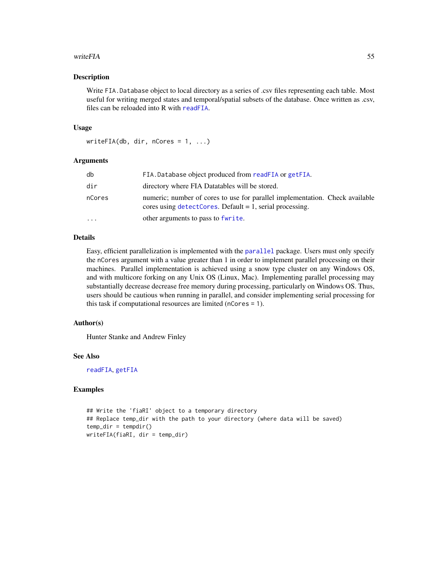#### <span id="page-54-0"></span>writeFIA 55

#### Description

Write FIA.Database object to local directory as a series of .csv files representing each table. Most useful for writing merged states and temporal/spatial subsets of the database. Once written as .csv, files can be reloaded into R with [readFIA](#page-35-1).

#### Usage

```
writeFIA(db, dir, nCores = 1, ...)
```
# Arguments

| db        | FIA. Database object produced from readFIA or getFIA.                                                                                       |
|-----------|---------------------------------------------------------------------------------------------------------------------------------------------|
| dir       | directory where FIA Datatables will be stored.                                                                                              |
| nCores    | numeric; number of cores to use for parallel implementation. Check available<br>cores using $detectCores$ . Default = 1, serial processing. |
| $\ddotsc$ | other arguments to pass to fwrite.                                                                                                          |

# Details

Easy, efficient parallelization is implemented with the [parallel](#page-0-0) package. Users must only specify the nCores argument with a value greater than 1 in order to implement parallel processing on their machines. Parallel implementation is achieved using a snow type cluster on any Windows OS, and with multicore forking on any Unix OS (Linux, Mac). Implementing parallel processing may substantially decrease decrease free memory during processing, particularly on Windows OS. Thus, users should be cautious when running in parallel, and consider implementing serial processing for this task if computational resources are limited (nCores = 1).

#### Author(s)

Hunter Stanke and Andrew Finley

#### See Also

[readFIA](#page-35-1), [getFIA](#page-22-1)

### Examples

## Write the 'fiaRI' object to a temporary directory ## Replace temp\_dir with the path to your directory (where data will be saved)  $temp\_dir = tempdir()$ writeFIA(fiaRI, dir = temp\_dir)